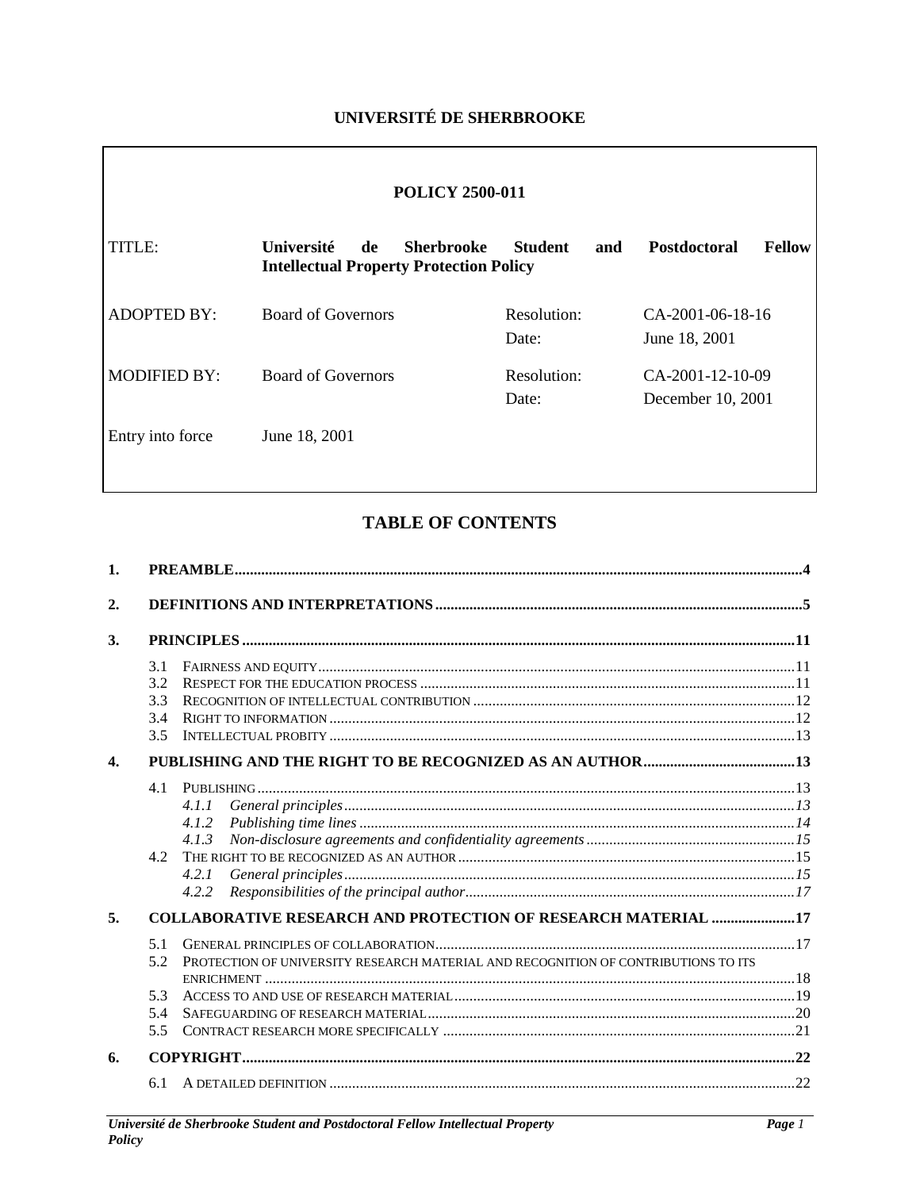# **UNIVERSITÉ DE SHERBROOKE**

| <b>POLICY 2500-011</b> |                                                                                         |                       |                                         |  |  |  |  |  |
|------------------------|-----------------------------------------------------------------------------------------|-----------------------|-----------------------------------------|--|--|--|--|--|
| TITLE:                 | Université<br><b>Sherbrooke</b><br>de<br><b>Intellectual Property Protection Policy</b> | <b>Student</b><br>and | <b>Postdoctoral</b><br>Fellow           |  |  |  |  |  |
| <b>ADOPTED BY:</b>     | <b>Board of Governors</b>                                                               | Resolution:<br>Date:  | $CA-2001-06-18-16$<br>June 18, 2001     |  |  |  |  |  |
| <b>MODIFIED BY:</b>    | <b>Board of Governors</b>                                                               | Resolution:<br>Date:  | $CA-2001-12-10-09$<br>December 10, 2001 |  |  |  |  |  |
| Entry into force       | June 18, 2001                                                                           |                       |                                         |  |  |  |  |  |

# **TABLE OF CONTENTS**

| $\mathbf{1}$ . |                                 |                                                                                    |  |
|----------------|---------------------------------|------------------------------------------------------------------------------------|--|
| 2.             |                                 |                                                                                    |  |
| 3.             |                                 |                                                                                    |  |
|                | 3.1<br>3.2<br>3.3<br>3.4<br>3.5 |                                                                                    |  |
| $\mathbf{4}$   |                                 |                                                                                    |  |
|                | 4.1<br>42                       | 4.1.1<br>4.1.2<br>4.1.3<br>4.2.1<br>4.2.2                                          |  |
| 5.             |                                 | <b>COLLABORATIVE RESEARCH AND PROTECTION OF RESEARCH MATERIAL 17</b>               |  |
|                | 5.1<br>5.2                      | PROTECTION OF UNIVERSITY RESEARCH MATERIAL AND RECOGNITION OF CONTRIBUTIONS TO ITS |  |
|                | 5.3<br>5.4<br>5.5               |                                                                                    |  |
| 6.             |                                 |                                                                                    |  |
|                | 6.1                             |                                                                                    |  |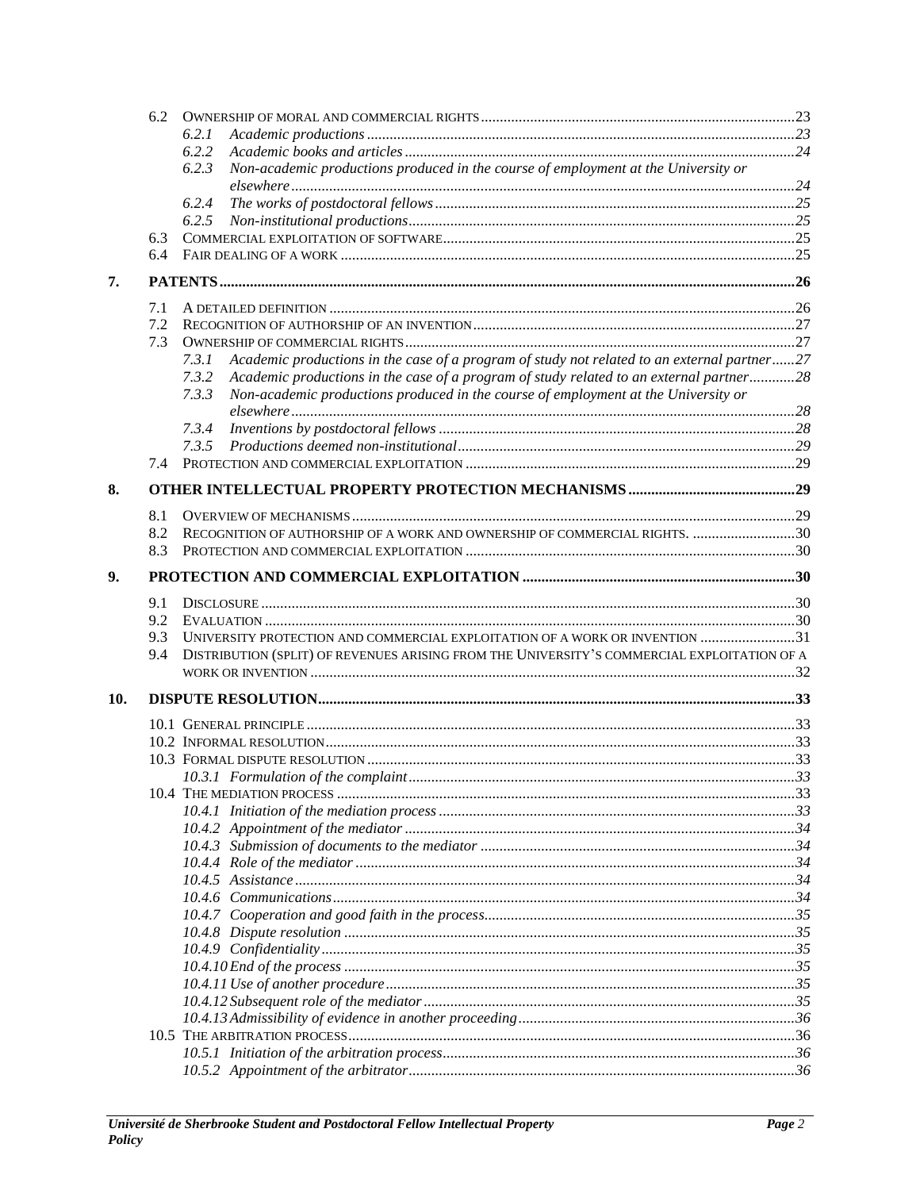|     | 6.2 |                                                                                                      |  |
|-----|-----|------------------------------------------------------------------------------------------------------|--|
|     |     | 6.2.1                                                                                                |  |
|     |     | 6.2.2                                                                                                |  |
|     |     | 6.2.3<br>Non-academic productions produced in the course of employment at the University or          |  |
|     |     |                                                                                                      |  |
|     |     | 6.2.4                                                                                                |  |
|     |     |                                                                                                      |  |
|     | 6.3 |                                                                                                      |  |
|     | 6.4 |                                                                                                      |  |
| 7.  |     |                                                                                                      |  |
|     |     |                                                                                                      |  |
|     | 7.1 |                                                                                                      |  |
|     | 7.2 |                                                                                                      |  |
|     | 7.3 |                                                                                                      |  |
|     |     | Academic productions in the case of a program of study not related to an external partner27<br>7.3.1 |  |
|     |     | 7.3.2<br>Academic productions in the case of a program of study related to an external partner28     |  |
|     |     | 7.3.3<br>Non-academic productions produced in the course of employment at the University or          |  |
|     |     |                                                                                                      |  |
|     |     | 7.3.4                                                                                                |  |
|     |     |                                                                                                      |  |
|     | 7.4 |                                                                                                      |  |
| 8.  |     |                                                                                                      |  |
|     |     |                                                                                                      |  |
|     | 8.1 | RECOGNITION OF AUTHORSHIP OF A WORK AND OWNERSHIP OF COMMERCIAL RIGHTS. 30                           |  |
|     | 8.2 |                                                                                                      |  |
|     | 8.3 |                                                                                                      |  |
| 9.  |     |                                                                                                      |  |
|     | 9.1 |                                                                                                      |  |
|     | 9.2 |                                                                                                      |  |
|     | 9.3 | UNIVERSITY PROTECTION AND COMMERCIAL EXPLOITATION OF A WORK OR INVENTION 31                          |  |
|     | 9.4 | DISTRIBUTION (SPLIT) OF REVENUES ARISING FROM THE UNIVERSITY'S COMMERCIAL EXPLOITATION OF A          |  |
|     |     |                                                                                                      |  |
|     |     |                                                                                                      |  |
| 10. |     |                                                                                                      |  |
|     |     |                                                                                                      |  |
|     |     |                                                                                                      |  |
|     |     |                                                                                                      |  |
|     |     |                                                                                                      |  |
|     |     |                                                                                                      |  |
|     |     |                                                                                                      |  |
|     |     |                                                                                                      |  |
|     |     |                                                                                                      |  |
|     |     |                                                                                                      |  |
|     |     |                                                                                                      |  |
|     |     |                                                                                                      |  |
|     |     |                                                                                                      |  |
|     |     |                                                                                                      |  |
|     |     |                                                                                                      |  |
|     |     |                                                                                                      |  |
|     |     |                                                                                                      |  |
|     |     |                                                                                                      |  |
|     |     |                                                                                                      |  |
|     |     |                                                                                                      |  |
|     |     |                                                                                                      |  |
|     |     |                                                                                                      |  |
|     |     |                                                                                                      |  |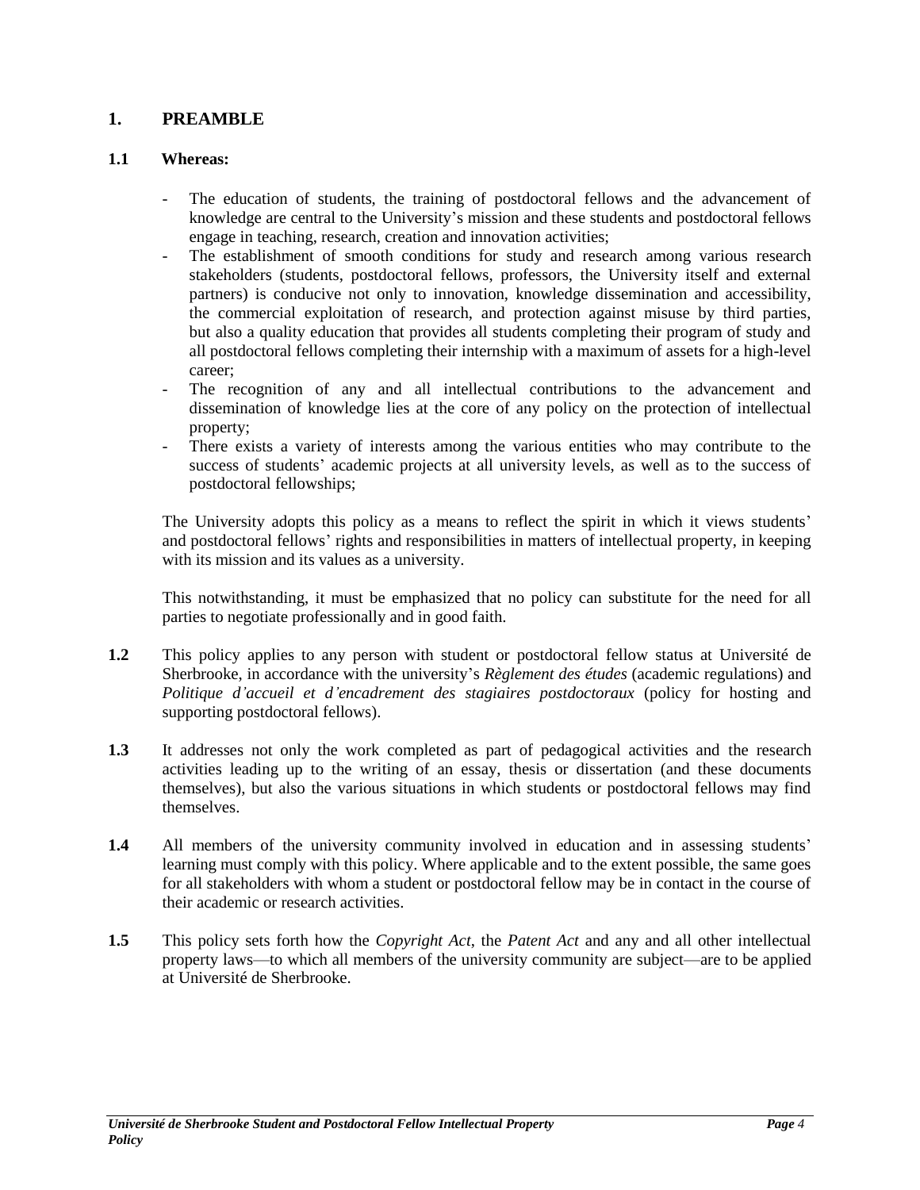## <span id="page-3-0"></span>**1. PREAMBLE**

## **1.1 Whereas:**

- The education of students, the training of postdoctoral fellows and the advancement of knowledge are central to the University's mission and these students and postdoctoral fellows engage in teaching, research, creation and innovation activities;
- The establishment of smooth conditions for study and research among various research stakeholders (students, postdoctoral fellows, professors, the University itself and external partners) is conducive not only to innovation, knowledge dissemination and accessibility, the commercial exploitation of research, and protection against misuse by third parties, but also a quality education that provides all students completing their program of study and all postdoctoral fellows completing their internship with a maximum of assets for a high-level career;
- The recognition of any and all intellectual contributions to the advancement and dissemination of knowledge lies at the core of any policy on the protection of intellectual property;
- There exists a variety of interests among the various entities who may contribute to the success of students' academic projects at all university levels, as well as to the success of postdoctoral fellowships;

The University adopts this policy as a means to reflect the spirit in which it views students' and postdoctoral fellows' rights and responsibilities in matters of intellectual property, in keeping with its mission and its values as a university.

This notwithstanding, it must be emphasized that no policy can substitute for the need for all parties to negotiate professionally and in good faith.

- **1.2** This policy applies to any person with student or postdoctoral fellow status at Université de Sherbrooke, in accordance with the university's *Règlement des études* (academic regulations) and *Politique d'accueil et d'encadrement des stagiaires postdoctoraux* (policy for hosting and supporting postdoctoral fellows).
- **1.3** It addresses not only the work completed as part of pedagogical activities and the research activities leading up to the writing of an essay, thesis or dissertation (and these documents themselves), but also the various situations in which students or postdoctoral fellows may find themselves.
- **1.4** All members of the university community involved in education and in assessing students' learning must comply with this policy. Where applicable and to the extent possible, the same goes for all stakeholders with whom a student or postdoctoral fellow may be in contact in the course of their academic or research activities.
- **1.5** This policy sets forth how the *Copyright Act*, the *Patent Act* and any and all other intellectual property laws—to which all members of the university community are subject—are to be applied at Université de Sherbrooke.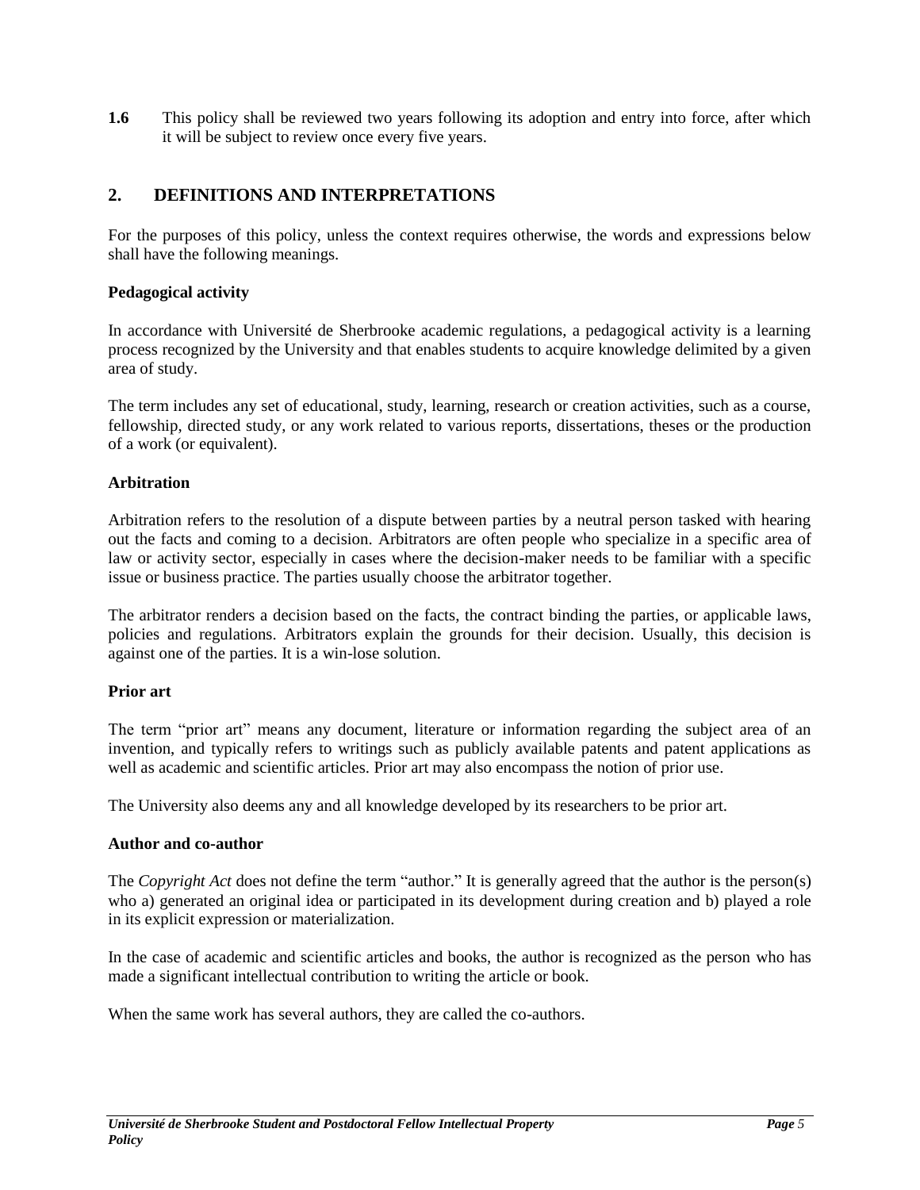**1.6** This policy shall be reviewed two years following its adoption and entry into force, after which it will be subject to review once every five years.

# <span id="page-4-0"></span>**2. DEFINITIONS AND INTERPRETATIONS**

For the purposes of this policy, unless the context requires otherwise, the words and expressions below shall have the following meanings.

## **Pedagogical activity**

In accordance with Université de Sherbrooke academic regulations, a pedagogical activity is a learning process recognized by the University and that enables students to acquire knowledge delimited by a given area of study.

The term includes any set of educational, study, learning, research or creation activities, such as a course, fellowship, directed study, or any work related to various reports, dissertations, theses or the production of a work (or equivalent).

## **Arbitration**

Arbitration refers to the resolution of a dispute between parties by a neutral person tasked with hearing out the facts and coming to a decision. Arbitrators are often people who specialize in a specific area of law or activity sector, especially in cases where the decision-maker needs to be familiar with a specific issue or business practice. The parties usually choose the arbitrator together.

The arbitrator renders a decision based on the facts, the contract binding the parties, or applicable laws, policies and regulations. Arbitrators explain the grounds for their decision. Usually, this decision is against one of the parties. It is a win-lose solution.

#### **Prior art**

The term "prior art" means any document, literature or information regarding the subject area of an invention, and typically refers to writings such as publicly available patents and patent applications as well as academic and scientific articles. Prior art may also encompass the notion of prior use.

The University also deems any and all knowledge developed by its researchers to be prior art.

#### **Author and co-author**

The *Copyright Act* does not define the term "author." It is generally agreed that the author is the person(s) who a) generated an original idea or participated in its development during creation and b) played a role in its explicit expression or materialization.

In the case of academic and scientific articles and books, the author is recognized as the person who has made a significant intellectual contribution to writing the article or book.

When the same work has several authors, they are called the co-authors.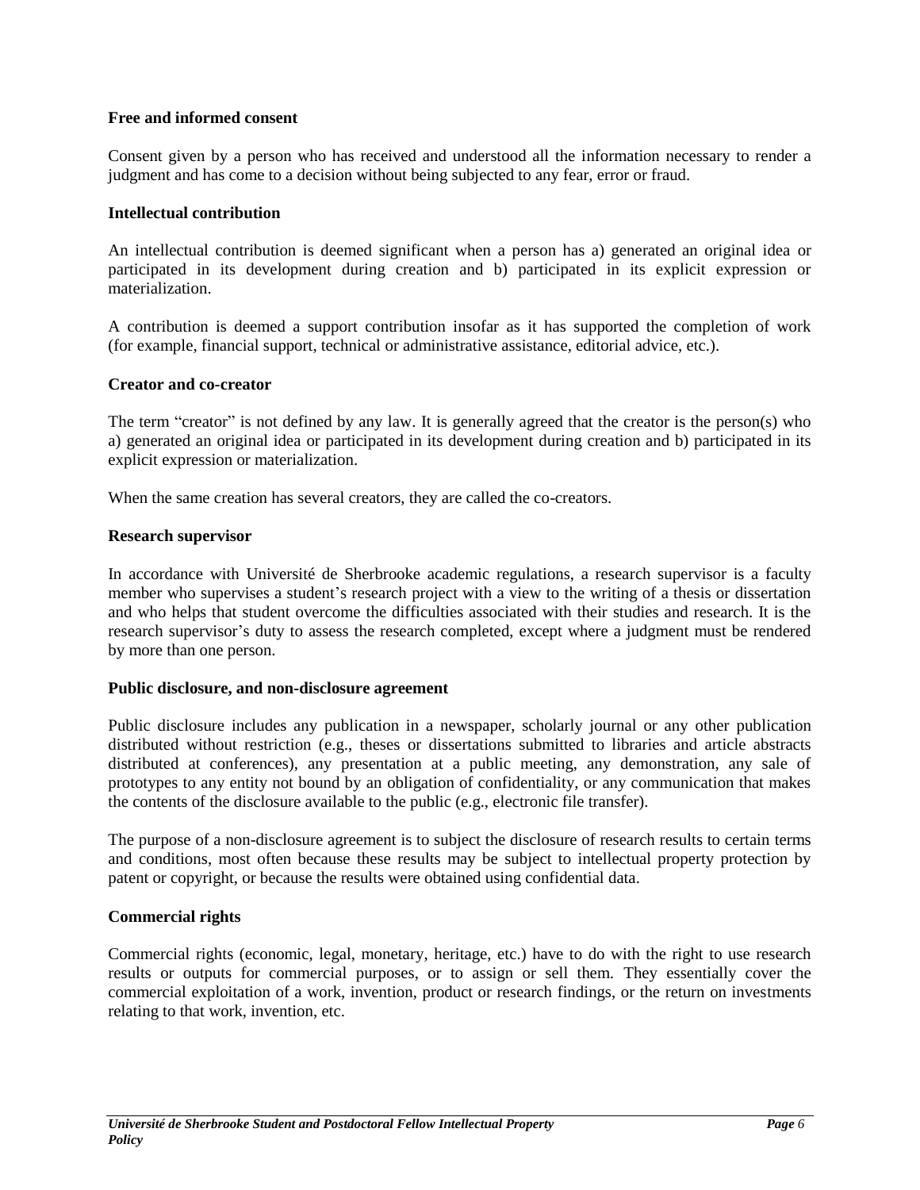## **Free and informed consent**

Consent given by a person who has received and understood all the information necessary to render a judgment and has come to a decision without being subjected to any fear, error or fraud.

#### **Intellectual contribution**

An intellectual contribution is deemed significant when a person has a) generated an original idea or participated in its development during creation and b) participated in its explicit expression or materialization.

A contribution is deemed a support contribution insofar as it has supported the completion of work (for example, financial support, technical or administrative assistance, editorial advice, etc.).

## **Creator and co-creator**

The term "creator" is not defined by any law. It is generally agreed that the creator is the person(s) who a) generated an original idea or participated in its development during creation and b) participated in its explicit expression or materialization.

When the same creation has several creators, they are called the co-creators.

## **Research supervisor**

In accordance with Université de Sherbrooke academic regulations, a research supervisor is a faculty member who supervises a student's research project with a view to the writing of a thesis or dissertation and who helps that student overcome the difficulties associated with their studies and research. It is the research supervisor's duty to assess the research completed, except where a judgment must be rendered by more than one person.

#### **Public disclosure, and non-disclosure agreement**

Public disclosure includes any publication in a newspaper, scholarly journal or any other publication distributed without restriction (e.g., theses or dissertations submitted to libraries and article abstracts distributed at conferences), any presentation at a public meeting, any demonstration, any sale of prototypes to any entity not bound by an obligation of confidentiality, or any communication that makes the contents of the disclosure available to the public (e.g., electronic file transfer).

The purpose of a non-disclosure agreement is to subject the disclosure of research results to certain terms and conditions, most often because these results may be subject to intellectual property protection by patent or copyright, or because the results were obtained using confidential data.

## **Commercial rights**

Commercial rights (economic, legal, monetary, heritage, etc.) have to do with the right to use research results or outputs for commercial purposes, or to assign or sell them. They essentially cover the commercial exploitation of a work, invention, product or research findings, or the return on investments relating to that work, invention, etc.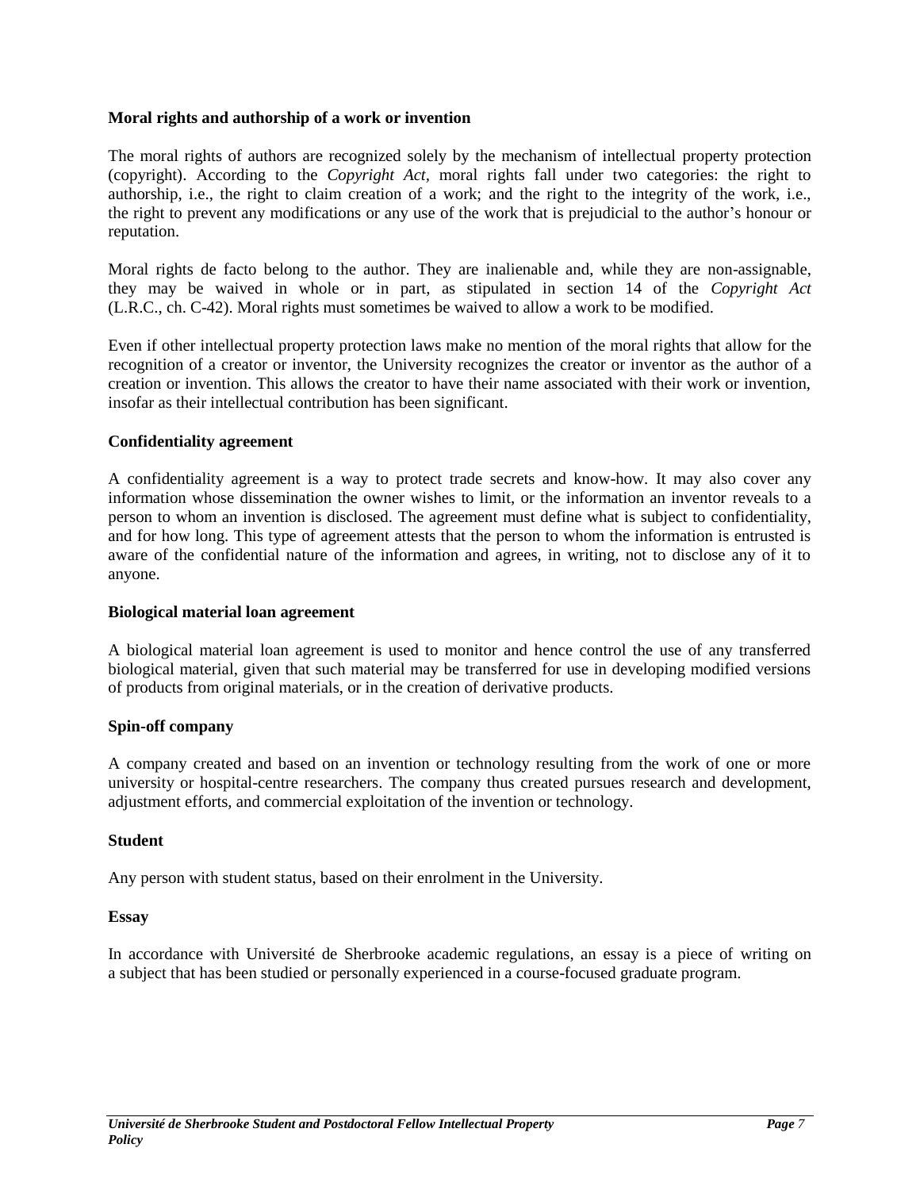#### **Moral rights and authorship of a work or invention**

The moral rights of authors are recognized solely by the mechanism of intellectual property protection (copyright). According to the *Copyright Act,* moral rights fall under two categories: the right to authorship, i.e., the right to claim creation of a work; and the right to the integrity of the work, i.e., the right to prevent any modifications or any use of the work that is prejudicial to the author's honour or reputation.

Moral rights de facto belong to the author. They are inalienable and, while they are non-assignable, they may be waived in whole or in part, as stipulated in section 14 of the *Copyright Act*  (L.R.C., ch. C-42). Moral rights must sometimes be waived to allow a work to be modified.

Even if other intellectual property protection laws make no mention of the moral rights that allow for the recognition of a creator or inventor, the University recognizes the creator or inventor as the author of a creation or invention. This allows the creator to have their name associated with their work or invention, insofar as their intellectual contribution has been significant.

#### **Confidentiality agreement**

A confidentiality agreement is a way to protect trade secrets and know-how. It may also cover any information whose dissemination the owner wishes to limit, or the information an inventor reveals to a person to whom an invention is disclosed. The agreement must define what is subject to confidentiality, and for how long. This type of agreement attests that the person to whom the information is entrusted is aware of the confidential nature of the information and agrees, in writing, not to disclose any of it to anyone.

#### **Biological material loan agreement**

A biological material loan agreement is used to monitor and hence control the use of any transferred biological material, given that such material may be transferred for use in developing modified versions of products from original materials, or in the creation of derivative products.

#### **Spin-off company**

A company created and based on an invention or technology resulting from the work of one or more university or hospital-centre researchers. The company thus created pursues research and development, adjustment efforts, and commercial exploitation of the invention or technology.

#### **Student**

Any person with student status, based on their enrolment in the University.

#### **Essay**

In accordance with Université de Sherbrooke academic regulations, an essay is a piece of writing on a subject that has been studied or personally experienced in a course-focused graduate program.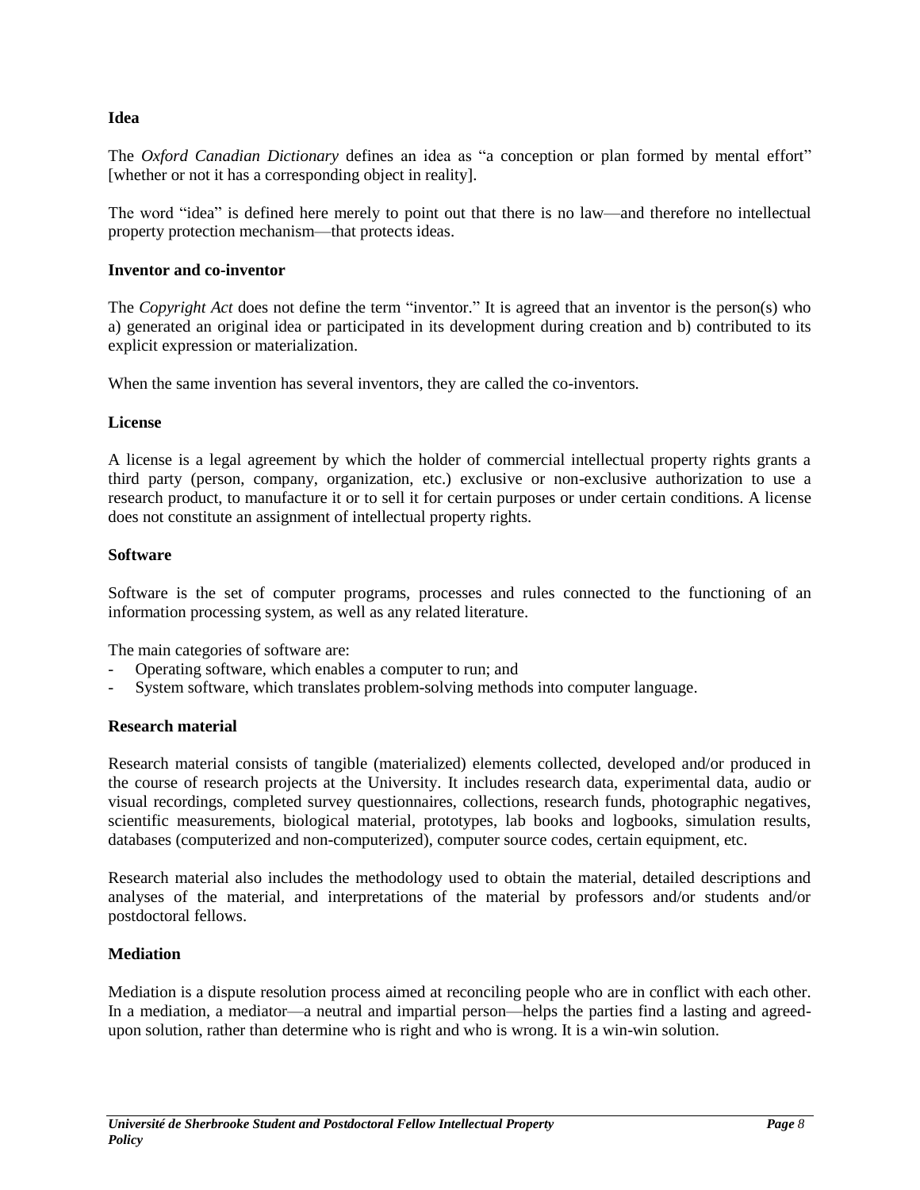## **Idea**

The *Oxford Canadian Dictionary* defines an idea as "a conception or plan formed by mental effort" [whether or not it has a corresponding object in reality].

The word "idea" is defined here merely to point out that there is no law—and therefore no intellectual property protection mechanism—that protects ideas.

#### **Inventor and co-inventor**

The *Copyright Act* does not define the term "inventor." It is agreed that an inventor is the person(s) who a) generated an original idea or participated in its development during creation and b) contributed to its explicit expression or materialization.

When the same invention has several inventors, they are called the co-inventors.

## **License**

A license is a legal agreement by which the holder of commercial intellectual property rights grants a third party (person, company, organization, etc.) exclusive or non-exclusive authorization to use a research product, to manufacture it or to sell it for certain purposes or under certain conditions. A license does not constitute an assignment of intellectual property rights.

## **Software**

Software is the set of computer programs, processes and rules connected to the functioning of an information processing system, as well as any related literature.

The main categories of software are:

- Operating software, which enables a computer to run; and
- System software, which translates problem-solving methods into computer language.

#### **Research material**

Research material consists of tangible (materialized) elements collected, developed and/or produced in the course of research projects at the University. It includes research data, experimental data, audio or visual recordings, completed survey questionnaires, collections, research funds, photographic negatives, scientific measurements, biological material, prototypes, lab books and logbooks, simulation results, databases (computerized and non-computerized), computer source codes, certain equipment, etc.

Research material also includes the methodology used to obtain the material, detailed descriptions and analyses of the material, and interpretations of the material by professors and/or students and/or postdoctoral fellows.

## **Mediation**

Mediation is a dispute resolution process aimed at reconciling people who are in conflict with each other. In a mediation, a mediator—a neutral and impartial person—helps the parties find a lasting and agreedupon solution, rather than determine who is right and who is wrong. It is a win-win solution.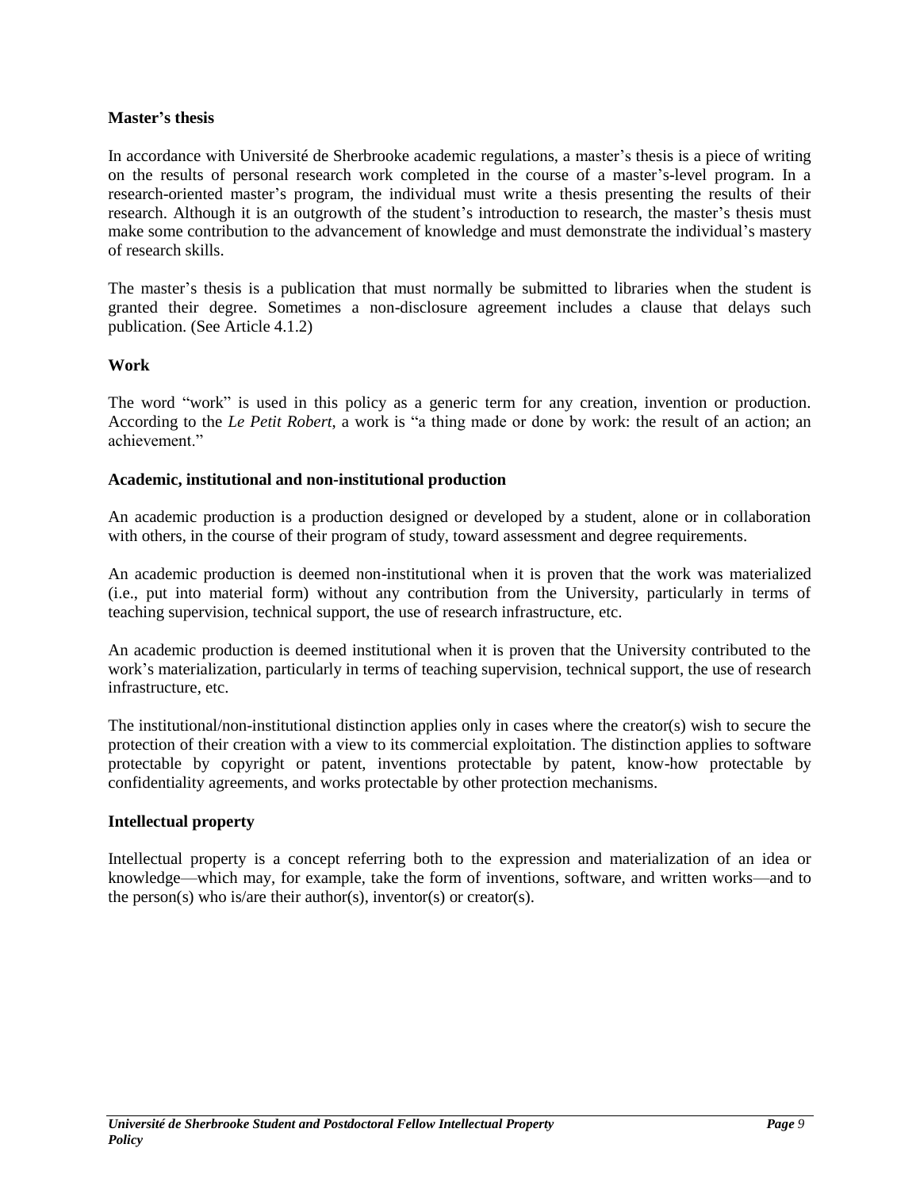#### **Master's thesis**

In accordance with Université de Sherbrooke academic regulations, a master's thesis is a piece of writing on the results of personal research work completed in the course of a master's-level program. In a research-oriented master's program, the individual must write a thesis presenting the results of their research. Although it is an outgrowth of the student's introduction to research, the master's thesis must make some contribution to the advancement of knowledge and must demonstrate the individual's mastery of research skills.

The master's thesis is a publication that must normally be submitted to libraries when the student is granted their degree. Sometimes a non-disclosure agreement includes a clause that delays such publication. (See Article 4.1.2)

## **Work**

The word "work" is used in this policy as a generic term for any creation, invention or production. According to the *Le Petit Robert*, a work is "a thing made or done by work: the result of an action; an achievement."

## **Academic, institutional and non-institutional production**

An academic production is a production designed or developed by a student, alone or in collaboration with others, in the course of their program of study, toward assessment and degree requirements.

An academic production is deemed non-institutional when it is proven that the work was materialized (i.e., put into material form) without any contribution from the University, particularly in terms of teaching supervision, technical support, the use of research infrastructure, etc.

An academic production is deemed institutional when it is proven that the University contributed to the work's materialization, particularly in terms of teaching supervision, technical support, the use of research infrastructure, etc.

The institutional/non-institutional distinction applies only in cases where the creator(s) wish to secure the protection of their creation with a view to its commercial exploitation. The distinction applies to software protectable by copyright or patent, inventions protectable by patent, know-how protectable by confidentiality agreements, and works protectable by other protection mechanisms.

#### **Intellectual property**

Intellectual property is a concept referring both to the expression and materialization of an idea or knowledge—which may, for example, take the form of inventions, software, and written works—and to the person(s) who is/are their author(s), inventor(s) or creator(s).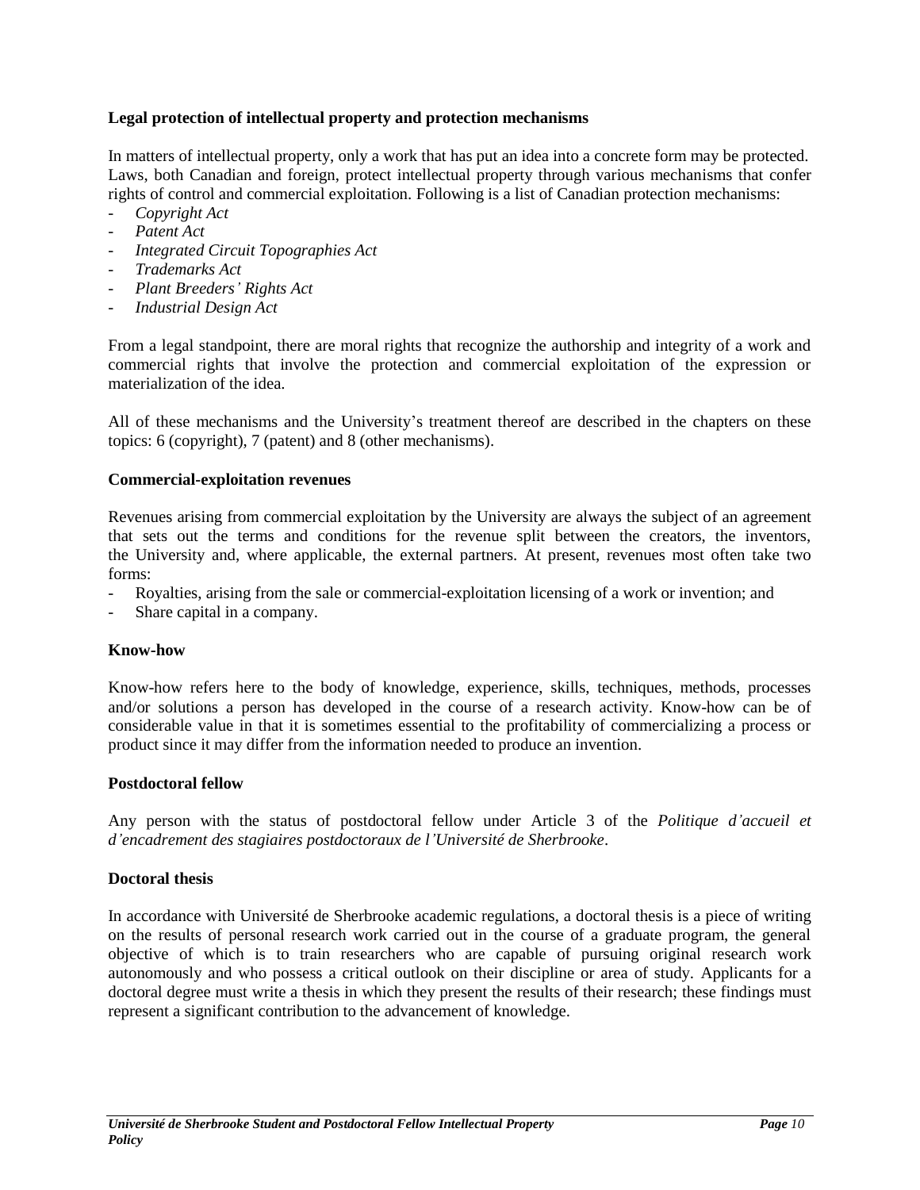## **Legal protection of intellectual property and protection mechanisms**

In matters of intellectual property, only a work that has put an idea into a concrete form may be protected. Laws, both Canadian and foreign, protect intellectual property through various mechanisms that confer rights of control and commercial exploitation. Following is a list of Canadian protection mechanisms:

- *Copyright Act*
- *Patent Act*
- *Integrated Circuit Topographies Act*
- *Trademarks Act*
- *Plant Breeders' Rights Act*
- *Industrial Design Act*

From a legal standpoint, there are moral rights that recognize the authorship and integrity of a work and commercial rights that involve the protection and commercial exploitation of the expression or materialization of the idea.

All of these mechanisms and the University's treatment thereof are described in the chapters on these topics: 6 (copyright), 7 (patent) and 8 (other mechanisms).

#### **Commercial-exploitation revenues**

Revenues arising from commercial exploitation by the University are always the subject of an agreement that sets out the terms and conditions for the revenue split between the creators, the inventors, the University and, where applicable, the external partners. At present, revenues most often take two forms:

- Royalties, arising from the sale or commercial-exploitation licensing of a work or invention; and
- Share capital in a company.

#### **Know-how**

Know-how refers here to the body of knowledge, experience, skills, techniques, methods, processes and/or solutions a person has developed in the course of a research activity. Know-how can be of considerable value in that it is sometimes essential to the profitability of commercializing a process or product since it may differ from the information needed to produce an invention.

#### **Postdoctoral fellow**

Any person with the status of postdoctoral fellow under Article 3 of the *Politique d'accueil et d'encadrement des stagiaires postdoctoraux de l'Université de Sherbrooke*.

#### **Doctoral thesis**

In accordance with Université de Sherbrooke academic regulations, a doctoral thesis is a piece of writing on the results of personal research work carried out in the course of a graduate program, the general objective of which is to train researchers who are capable of pursuing original research work autonomously and who possess a critical outlook on their discipline or area of study. Applicants for a doctoral degree must write a thesis in which they present the results of their research; these findings must represent a significant contribution to the advancement of knowledge.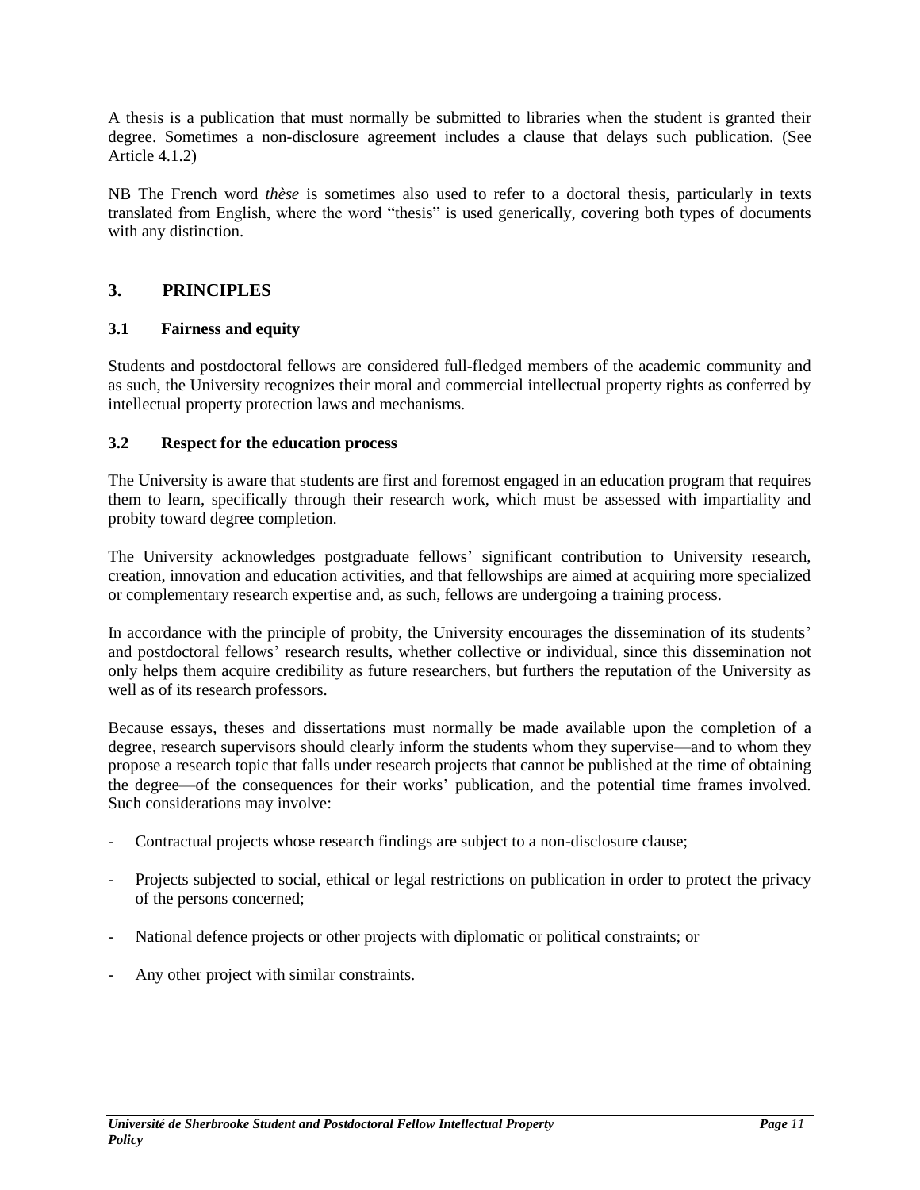A thesis is a publication that must normally be submitted to libraries when the student is granted their degree. Sometimes a non-disclosure agreement includes a clause that delays such publication. (See Article 4.1.2)

NB The French word *thèse* is sometimes also used to refer to a doctoral thesis, particularly in texts translated from English, where the word "thesis" is used generically, covering both types of documents with any distinction.

# <span id="page-10-0"></span>**3. PRINCIPLES**

## <span id="page-10-1"></span>**3.1 Fairness and equity**

Students and postdoctoral fellows are considered full-fledged members of the academic community and as such, the University recognizes their moral and commercial intellectual property rights as conferred by intellectual property protection laws and mechanisms.

## <span id="page-10-2"></span>**3.2 Respect for the education process**

The University is aware that students are first and foremost engaged in an education program that requires them to learn, specifically through their research work, which must be assessed with impartiality and probity toward degree completion.

The University acknowledges postgraduate fellows' significant contribution to University research, creation, innovation and education activities, and that fellowships are aimed at acquiring more specialized or complementary research expertise and, as such, fellows are undergoing a training process.

In accordance with the principle of probity, the University encourages the dissemination of its students' and postdoctoral fellows' research results, whether collective or individual, since this dissemination not only helps them acquire credibility as future researchers, but furthers the reputation of the University as well as of its research professors.

Because essays, theses and dissertations must normally be made available upon the completion of a degree, research supervisors should clearly inform the students whom they supervise—and to whom they propose a research topic that falls under research projects that cannot be published at the time of obtaining the degree—of the consequences for their works' publication, and the potential time frames involved. Such considerations may involve:

- Contractual projects whose research findings are subject to a non-disclosure clause;
- Projects subjected to social, ethical or legal restrictions on publication in order to protect the privacy of the persons concerned;
- National defence projects or other projects with diplomatic or political constraints; or
- Any other project with similar constraints.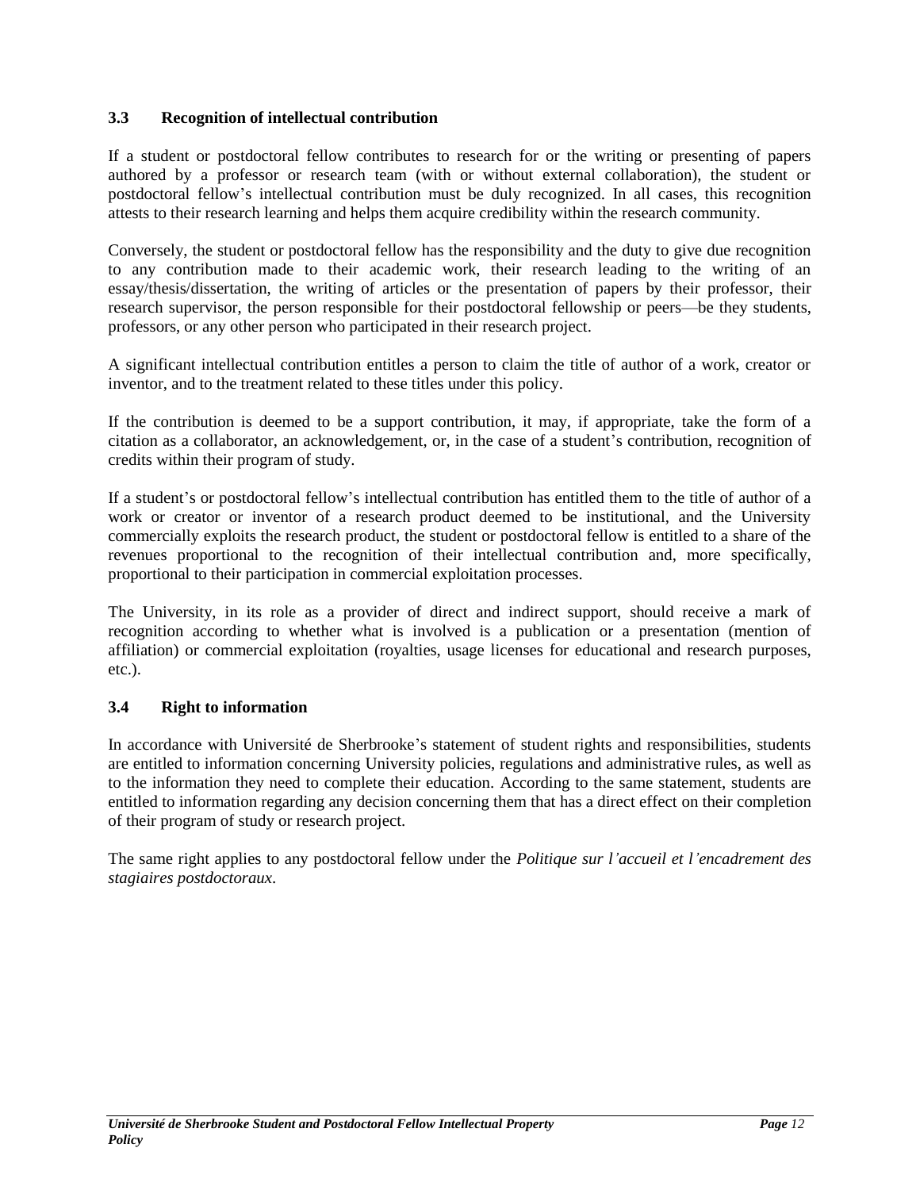## <span id="page-11-0"></span>**3.3 Recognition of intellectual contribution**

If a student or postdoctoral fellow contributes to research for or the writing or presenting of papers authored by a professor or research team (with or without external collaboration), the student or postdoctoral fellow's intellectual contribution must be duly recognized. In all cases, this recognition attests to their research learning and helps them acquire credibility within the research community.

Conversely, the student or postdoctoral fellow has the responsibility and the duty to give due recognition to any contribution made to their academic work, their research leading to the writing of an essay/thesis/dissertation, the writing of articles or the presentation of papers by their professor, their research supervisor, the person responsible for their postdoctoral fellowship or peers—be they students, professors, or any other person who participated in their research project.

A significant intellectual contribution entitles a person to claim the title of author of a work, creator or inventor, and to the treatment related to these titles under this policy.

If the contribution is deemed to be a support contribution, it may, if appropriate, take the form of a citation as a collaborator, an acknowledgement, or, in the case of a student's contribution, recognition of credits within their program of study.

If a student's or postdoctoral fellow's intellectual contribution has entitled them to the title of author of a work or creator or inventor of a research product deemed to be institutional, and the University commercially exploits the research product, the student or postdoctoral fellow is entitled to a share of the revenues proportional to the recognition of their intellectual contribution and, more specifically, proportional to their participation in commercial exploitation processes.

The University, in its role as a provider of direct and indirect support, should receive a mark of recognition according to whether what is involved is a publication or a presentation (mention of affiliation) or commercial exploitation (royalties, usage licenses for educational and research purposes, etc.).

## <span id="page-11-1"></span>**3.4 Right to information**

In accordance with Université de Sherbrooke's statement of student rights and responsibilities, students are entitled to information concerning University policies, regulations and administrative rules, as well as to the information they need to complete their education. According to the same statement, students are entitled to information regarding any decision concerning them that has a direct effect on their completion of their program of study or research project.

The same right applies to any postdoctoral fellow under the *Politique sur l'accueil et l'encadrement des stagiaires postdoctoraux*.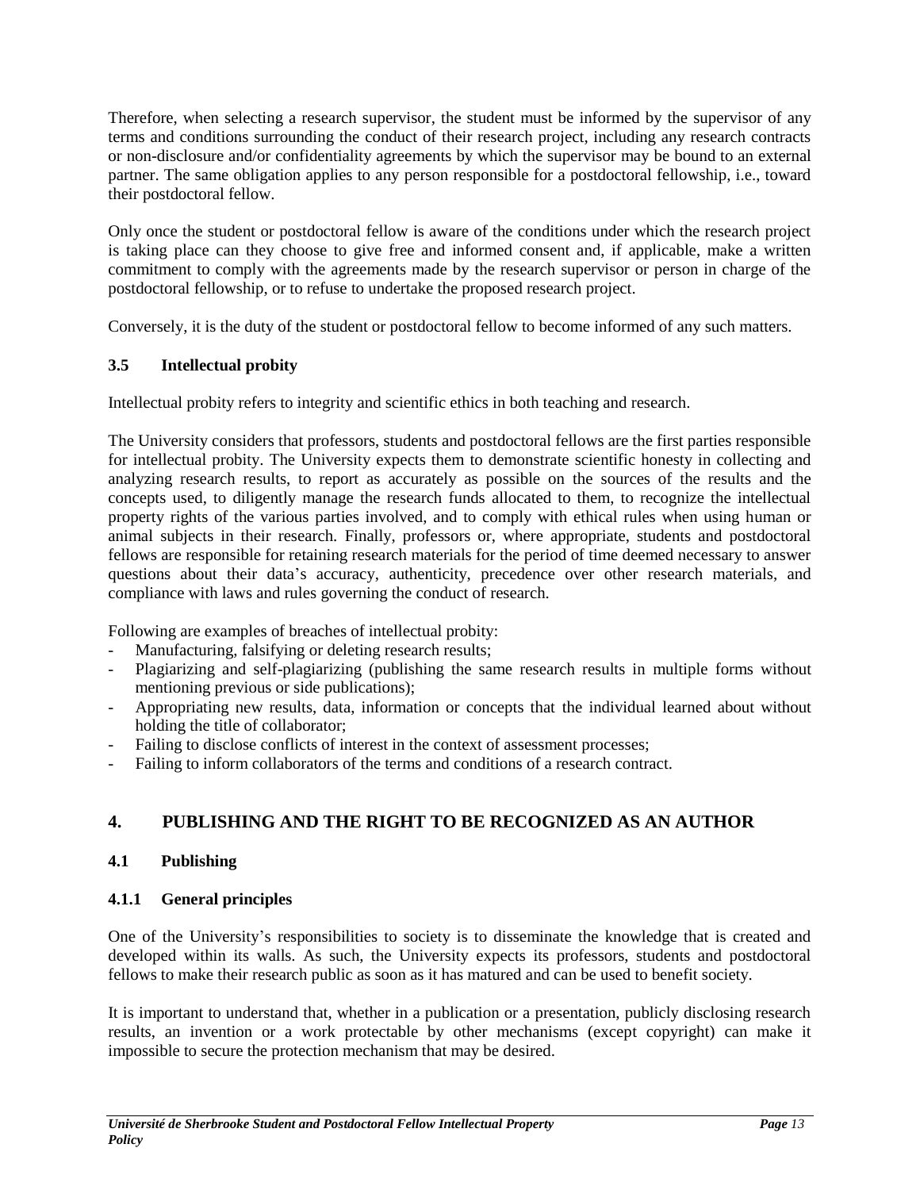Therefore, when selecting a research supervisor, the student must be informed by the supervisor of any terms and conditions surrounding the conduct of their research project, including any research contracts or non-disclosure and/or confidentiality agreements by which the supervisor may be bound to an external partner. The same obligation applies to any person responsible for a postdoctoral fellowship, i.e., toward their postdoctoral fellow.

Only once the student or postdoctoral fellow is aware of the conditions under which the research project is taking place can they choose to give free and informed consent and, if applicable, make a written commitment to comply with the agreements made by the research supervisor or person in charge of the postdoctoral fellowship, or to refuse to undertake the proposed research project.

Conversely, it is the duty of the student or postdoctoral fellow to become informed of any such matters.

## <span id="page-12-0"></span>**3.5 Intellectual probity**

Intellectual probity refers to integrity and scientific ethics in both teaching and research.

The University considers that professors, students and postdoctoral fellows are the first parties responsible for intellectual probity. The University expects them to demonstrate scientific honesty in collecting and analyzing research results, to report as accurately as possible on the sources of the results and the concepts used, to diligently manage the research funds allocated to them, to recognize the intellectual property rights of the various parties involved, and to comply with ethical rules when using human or animal subjects in their research. Finally, professors or, where appropriate, students and postdoctoral fellows are responsible for retaining research materials for the period of time deemed necessary to answer questions about their data's accuracy, authenticity, precedence over other research materials, and compliance with laws and rules governing the conduct of research.

Following are examples of breaches of intellectual probity:

- Manufacturing, falsifying or deleting research results;
- Plagiarizing and self-plagiarizing (publishing the same research results in multiple forms without mentioning previous or side publications);
- Appropriating new results, data, information or concepts that the individual learned about without holding the title of collaborator;
- Failing to disclose conflicts of interest in the context of assessment processes;
- Failing to inform collaborators of the terms and conditions of a research contract.

# <span id="page-12-1"></span>**4. PUBLISHING AND THE RIGHT TO BE RECOGNIZED AS AN AUTHOR**

## <span id="page-12-2"></span>**4.1 Publishing**

## <span id="page-12-3"></span>**4.1.1 General principles**

One of the University's responsibilities to society is to disseminate the knowledge that is created and developed within its walls. As such, the University expects its professors, students and postdoctoral fellows to make their research public as soon as it has matured and can be used to benefit society.

It is important to understand that, whether in a publication or a presentation, publicly disclosing research results, an invention or a work protectable by other mechanisms (except copyright) can make it impossible to secure the protection mechanism that may be desired.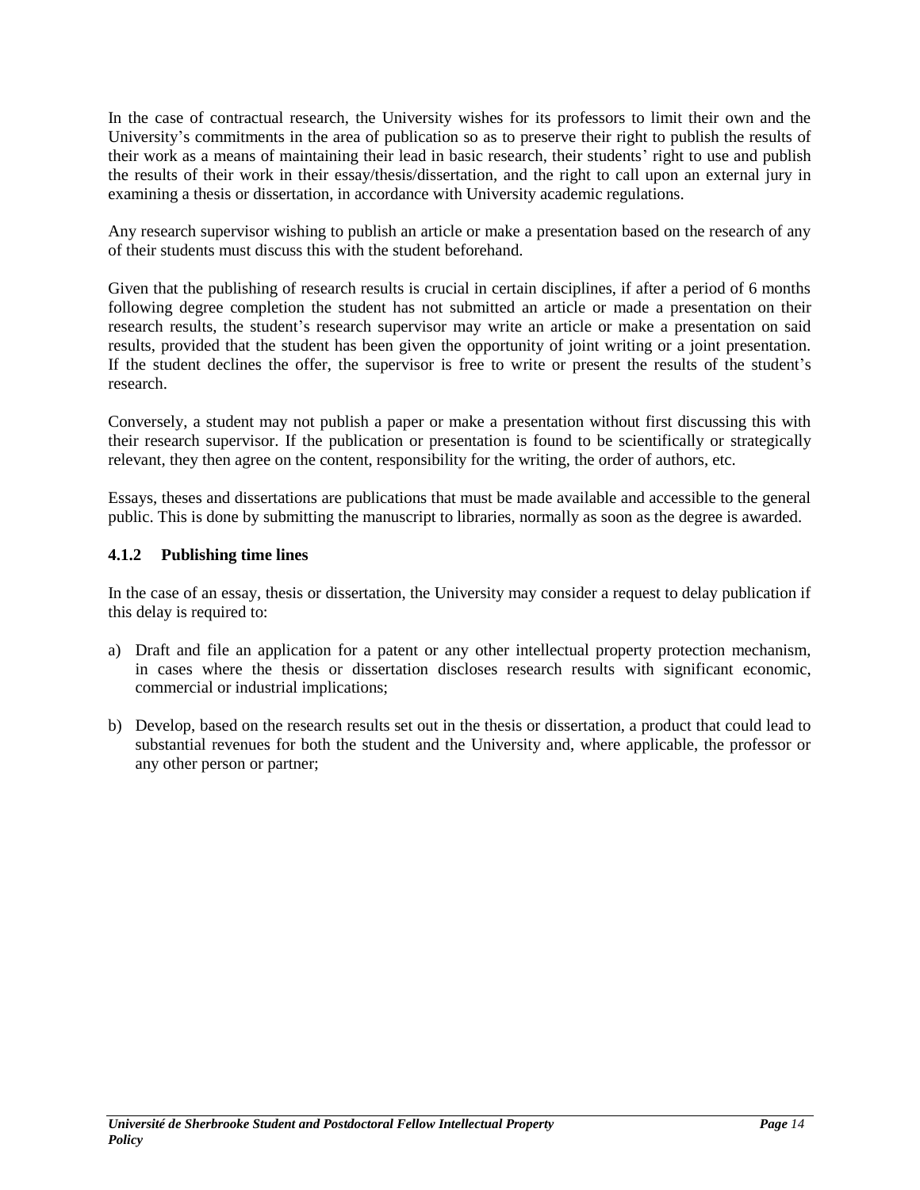In the case of contractual research, the University wishes for its professors to limit their own and the University's commitments in the area of publication so as to preserve their right to publish the results of their work as a means of maintaining their lead in basic research, their students' right to use and publish the results of their work in their essay/thesis/dissertation, and the right to call upon an external jury in examining a thesis or dissertation, in accordance with University academic regulations.

Any research supervisor wishing to publish an article or make a presentation based on the research of any of their students must discuss this with the student beforehand.

Given that the publishing of research results is crucial in certain disciplines, if after a period of 6 months following degree completion the student has not submitted an article or made a presentation on their research results, the student's research supervisor may write an article or make a presentation on said results, provided that the student has been given the opportunity of joint writing or a joint presentation. If the student declines the offer, the supervisor is free to write or present the results of the student's research.

Conversely, a student may not publish a paper or make a presentation without first discussing this with their research supervisor. If the publication or presentation is found to be scientifically or strategically relevant, they then agree on the content, responsibility for the writing, the order of authors, etc.

Essays, theses and dissertations are publications that must be made available and accessible to the general public. This is done by submitting the manuscript to libraries, normally as soon as the degree is awarded.

## <span id="page-13-0"></span>**4.1.2 Publishing time lines**

In the case of an essay, thesis or dissertation, the University may consider a request to delay publication if this delay is required to:

- a) Draft and file an application for a patent or any other intellectual property protection mechanism, in cases where the thesis or dissertation discloses research results with significant economic, commercial or industrial implications;
- b) Develop, based on the research results set out in the thesis or dissertation, a product that could lead to substantial revenues for both the student and the University and, where applicable, the professor or any other person or partner;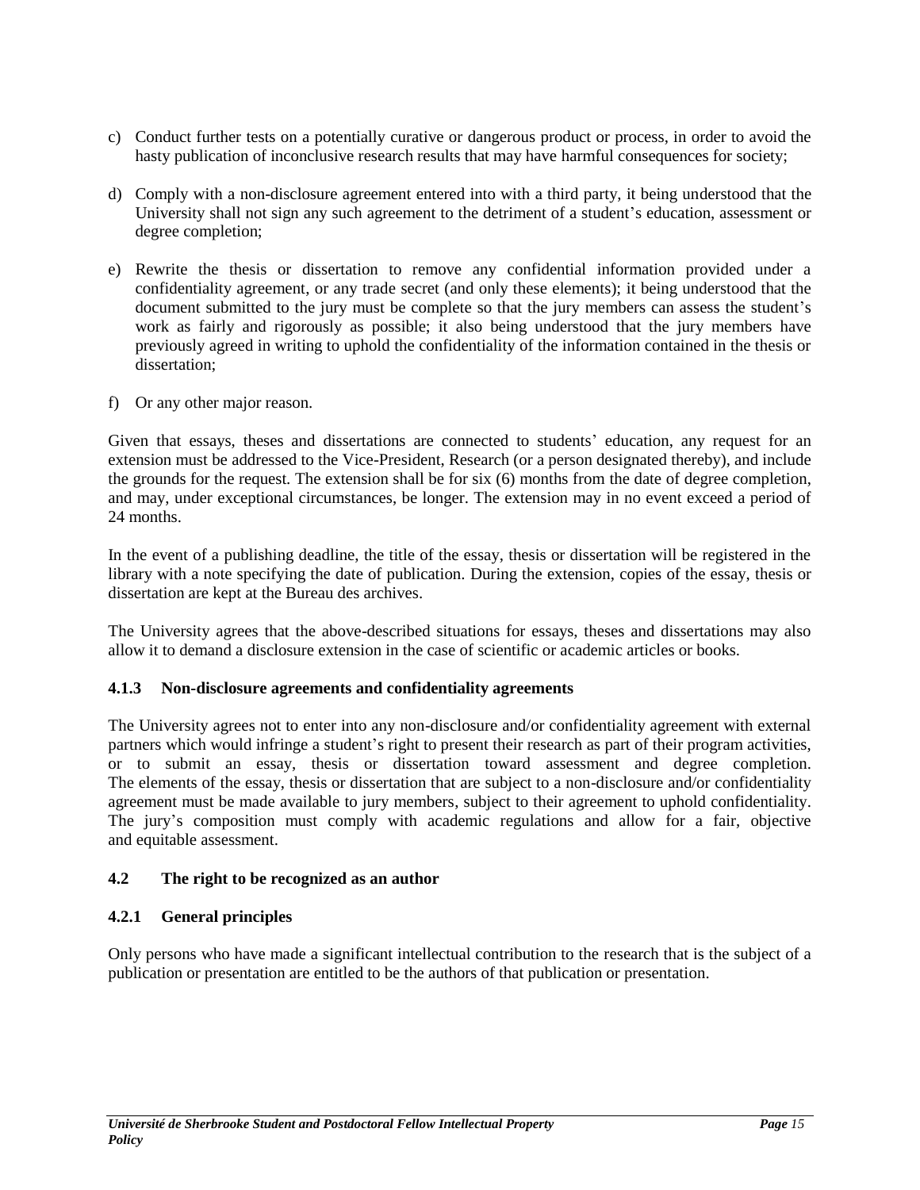- c) Conduct further tests on a potentially curative or dangerous product or process, in order to avoid the hasty publication of inconclusive research results that may have harmful consequences for society;
- d) Comply with a non-disclosure agreement entered into with a third party, it being understood that the University shall not sign any such agreement to the detriment of a student's education, assessment or degree completion;
- e) Rewrite the thesis or dissertation to remove any confidential information provided under a confidentiality agreement, or any trade secret (and only these elements); it being understood that the document submitted to the jury must be complete so that the jury members can assess the student's work as fairly and rigorously as possible; it also being understood that the jury members have previously agreed in writing to uphold the confidentiality of the information contained in the thesis or dissertation;
- f) Or any other major reason.

Given that essays, theses and dissertations are connected to students' education, any request for an extension must be addressed to the Vice-President, Research (or a person designated thereby), and include the grounds for the request. The extension shall be for six (6) months from the date of degree completion, and may, under exceptional circumstances, be longer. The extension may in no event exceed a period of 24 months.

In the event of a publishing deadline, the title of the essay, thesis or dissertation will be registered in the library with a note specifying the date of publication. During the extension, copies of the essay, thesis or dissertation are kept at the Bureau des archives.

The University agrees that the above-described situations for essays, theses and dissertations may also allow it to demand a disclosure extension in the case of scientific or academic articles or books.

## <span id="page-14-0"></span>**4.1.3 Non-disclosure agreements and confidentiality agreements**

The University agrees not to enter into any non-disclosure and/or confidentiality agreement with external partners which would infringe a student's right to present their research as part of their program activities, or to submit an essay, thesis or dissertation toward assessment and degree completion. The elements of the essay, thesis or dissertation that are subject to a non-disclosure and/or confidentiality agreement must be made available to jury members, subject to their agreement to uphold confidentiality. The jury's composition must comply with academic regulations and allow for a fair, objective and equitable assessment.

## <span id="page-14-1"></span>**4.2 The right to be recognized as an author**

## <span id="page-14-2"></span>**4.2.1 General principles**

Only persons who have made a significant intellectual contribution to the research that is the subject of a publication or presentation are entitled to be the authors of that publication or presentation.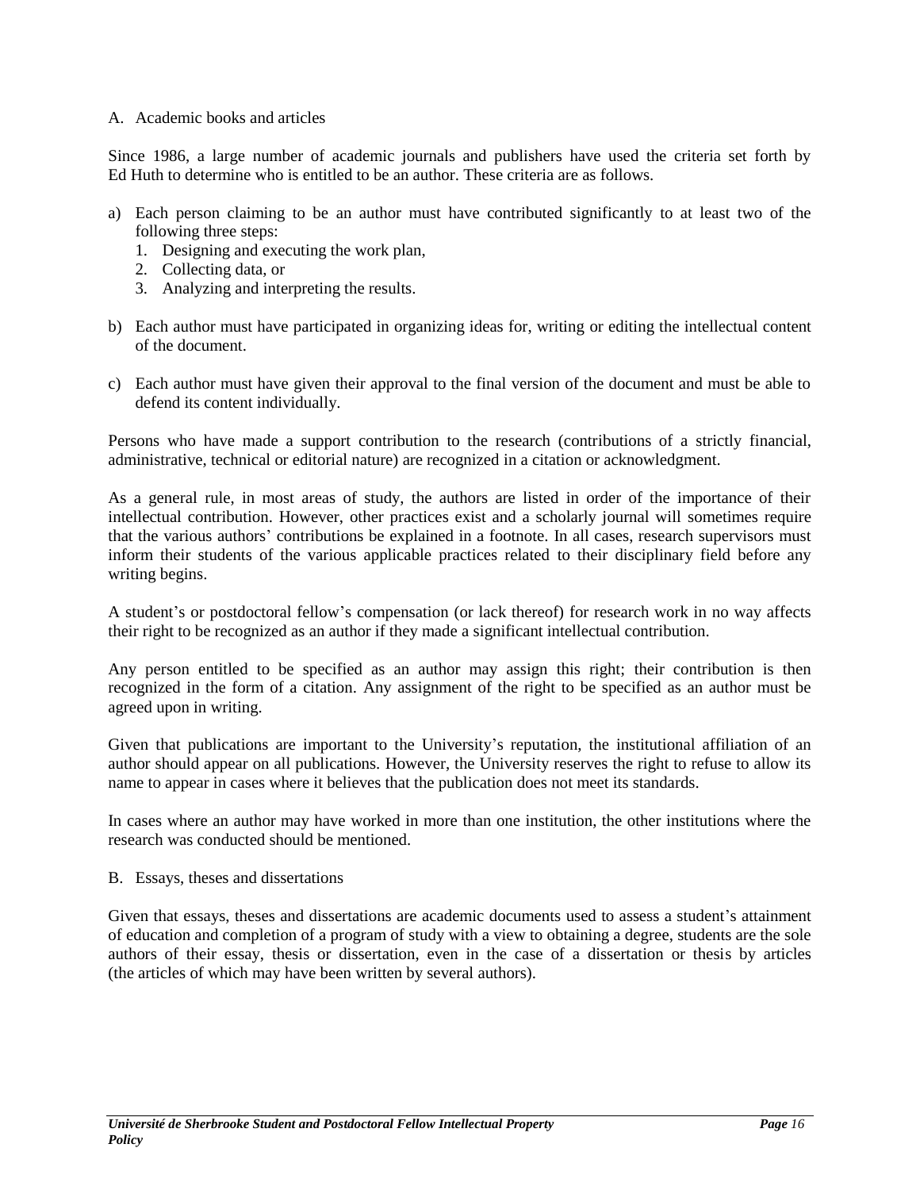#### A. Academic books and articles

Since 1986, a large number of academic journals and publishers have used the criteria set forth by Ed Huth to determine who is entitled to be an author. These criteria are as follows.

- a) Each person claiming to be an author must have contributed significantly to at least two of the following three steps:
	- 1. Designing and executing the work plan,
	- 2. Collecting data, or
	- 3. Analyzing and interpreting the results.
- b) Each author must have participated in organizing ideas for, writing or editing the intellectual content of the document.
- c) Each author must have given their approval to the final version of the document and must be able to defend its content individually.

Persons who have made a support contribution to the research (contributions of a strictly financial, administrative, technical or editorial nature) are recognized in a citation or acknowledgment.

As a general rule, in most areas of study, the authors are listed in order of the importance of their intellectual contribution. However, other practices exist and a scholarly journal will sometimes require that the various authors' contributions be explained in a footnote. In all cases, research supervisors must inform their students of the various applicable practices related to their disciplinary field before any writing begins.

A student's or postdoctoral fellow's compensation (or lack thereof) for research work in no way affects their right to be recognized as an author if they made a significant intellectual contribution.

Any person entitled to be specified as an author may assign this right; their contribution is then recognized in the form of a citation. Any assignment of the right to be specified as an author must be agreed upon in writing.

Given that publications are important to the University's reputation, the institutional affiliation of an author should appear on all publications. However, the University reserves the right to refuse to allow its name to appear in cases where it believes that the publication does not meet its standards.

In cases where an author may have worked in more than one institution, the other institutions where the research was conducted should be mentioned.

#### B. Essays, theses and dissertations

Given that essays, theses and dissertations are academic documents used to assess a student's attainment of education and completion of a program of study with a view to obtaining a degree, students are the sole authors of their essay, thesis or dissertation, even in the case of a dissertation or thesis by articles (the articles of which may have been written by several authors).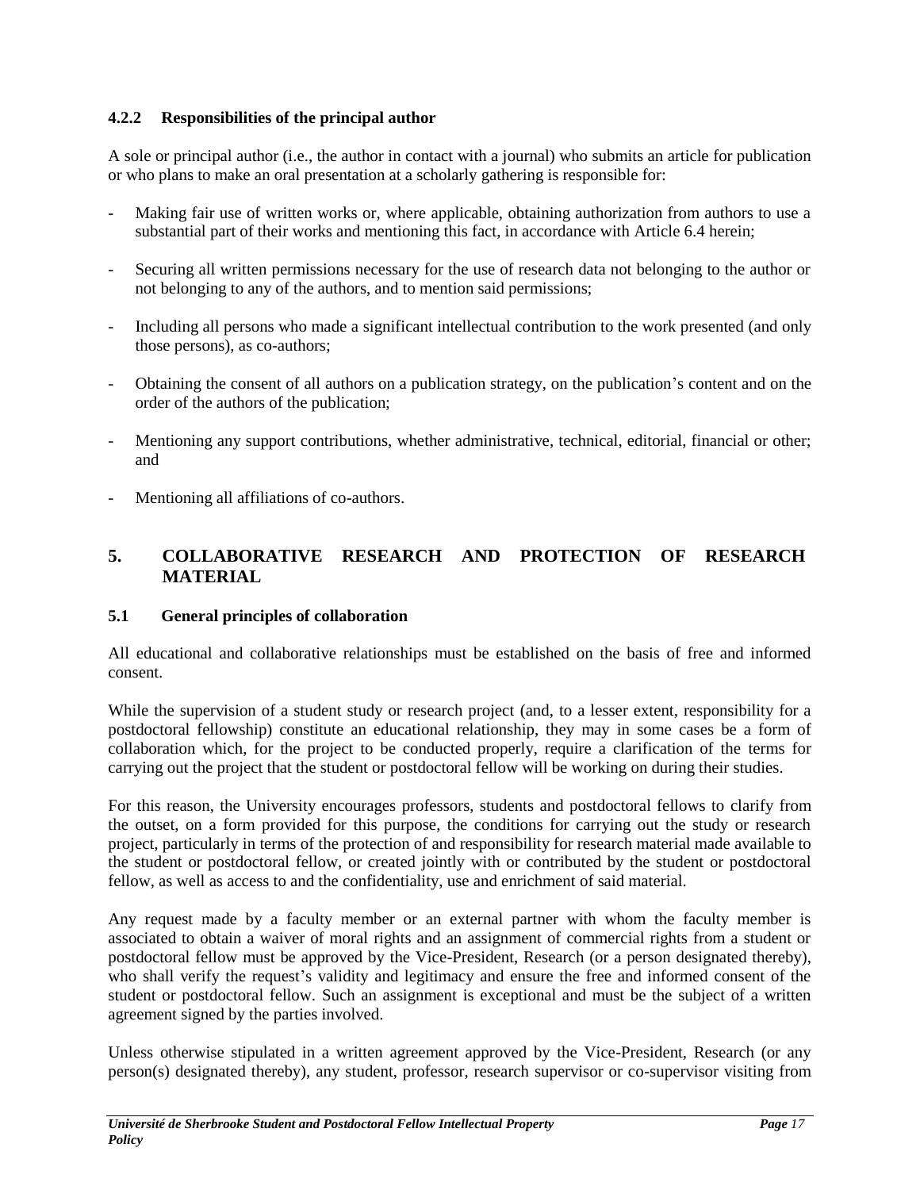## <span id="page-16-0"></span>**4.2.2 Responsibilities of the principal author**

A sole or principal author (i.e., the author in contact with a journal) who submits an article for publication or who plans to make an oral presentation at a scholarly gathering is responsible for:

- Making fair use of written works or, where applicable, obtaining authorization from authors to use a substantial part of their works and mentioning this fact, in accordance with Article 6.4 herein;
- Securing all written permissions necessary for the use of research data not belonging to the author or not belonging to any of the authors, and to mention said permissions;
- Including all persons who made a significant intellectual contribution to the work presented (and only those persons), as co-authors;
- Obtaining the consent of all authors on a publication strategy, on the publication's content and on the order of the authors of the publication;
- Mentioning any support contributions, whether administrative, technical, editorial, financial or other; and
- Mentioning all affiliations of co-authors.

# <span id="page-16-1"></span>**5. COLLABORATIVE RESEARCH AND PROTECTION OF RESEARCH MATERIAL**

## <span id="page-16-2"></span>**5.1 General principles of collaboration**

All educational and collaborative relationships must be established on the basis of free and informed consent.

While the supervision of a student study or research project (and, to a lesser extent, responsibility for a postdoctoral fellowship) constitute an educational relationship, they may in some cases be a form of collaboration which, for the project to be conducted properly, require a clarification of the terms for carrying out the project that the student or postdoctoral fellow will be working on during their studies.

For this reason, the University encourages professors, students and postdoctoral fellows to clarify from the outset, on a form provided for this purpose, the conditions for carrying out the study or research project, particularly in terms of the protection of and responsibility for research material made available to the student or postdoctoral fellow, or created jointly with or contributed by the student or postdoctoral fellow, as well as access to and the confidentiality, use and enrichment of said material.

Any request made by a faculty member or an external partner with whom the faculty member is associated to obtain a waiver of moral rights and an assignment of commercial rights from a student or postdoctoral fellow must be approved by the Vice-President, Research (or a person designated thereby), who shall verify the request's validity and legitimacy and ensure the free and informed consent of the student or postdoctoral fellow. Such an assignment is exceptional and must be the subject of a written agreement signed by the parties involved.

Unless otherwise stipulated in a written agreement approved by the Vice-President, Research (or any person(s) designated thereby), any student, professor, research supervisor or co-supervisor visiting from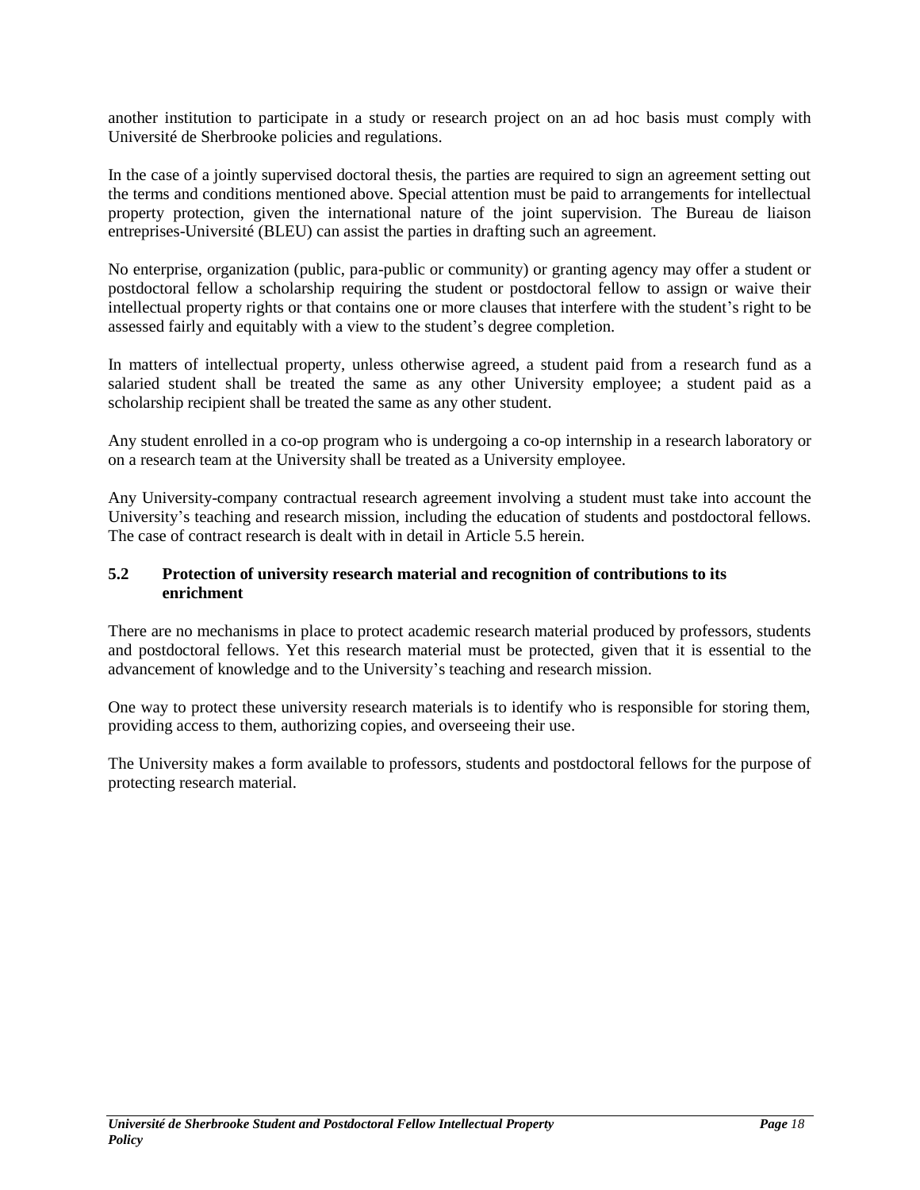another institution to participate in a study or research project on an ad hoc basis must comply with Université de Sherbrooke policies and regulations.

In the case of a jointly supervised doctoral thesis, the parties are required to sign an agreement setting out the terms and conditions mentioned above. Special attention must be paid to arrangements for intellectual property protection, given the international nature of the joint supervision. The Bureau de liaison entreprises-Université (BLEU) can assist the parties in drafting such an agreement.

No enterprise, organization (public, para-public or community) or granting agency may offer a student or postdoctoral fellow a scholarship requiring the student or postdoctoral fellow to assign or waive their intellectual property rights or that contains one or more clauses that interfere with the student's right to be assessed fairly and equitably with a view to the student's degree completion.

In matters of intellectual property, unless otherwise agreed, a student paid from a research fund as a salaried student shall be treated the same as any other University employee; a student paid as a scholarship recipient shall be treated the same as any other student.

Any student enrolled in a co-op program who is undergoing a co-op internship in a research laboratory or on a research team at the University shall be treated as a University employee.

Any University-company contractual research agreement involving a student must take into account the University's teaching and research mission, including the education of students and postdoctoral fellows. The case of contract research is dealt with in detail in Article 5.5 herein.

## <span id="page-17-0"></span>**5.2 Protection of university research material and recognition of contributions to its enrichment**

There are no mechanisms in place to protect academic research material produced by professors, students and postdoctoral fellows. Yet this research material must be protected, given that it is essential to the advancement of knowledge and to the University's teaching and research mission.

One way to protect these university research materials is to identify who is responsible for storing them, providing access to them, authorizing copies, and overseeing their use.

The University makes a form available to professors, students and postdoctoral fellows for the purpose of protecting research material.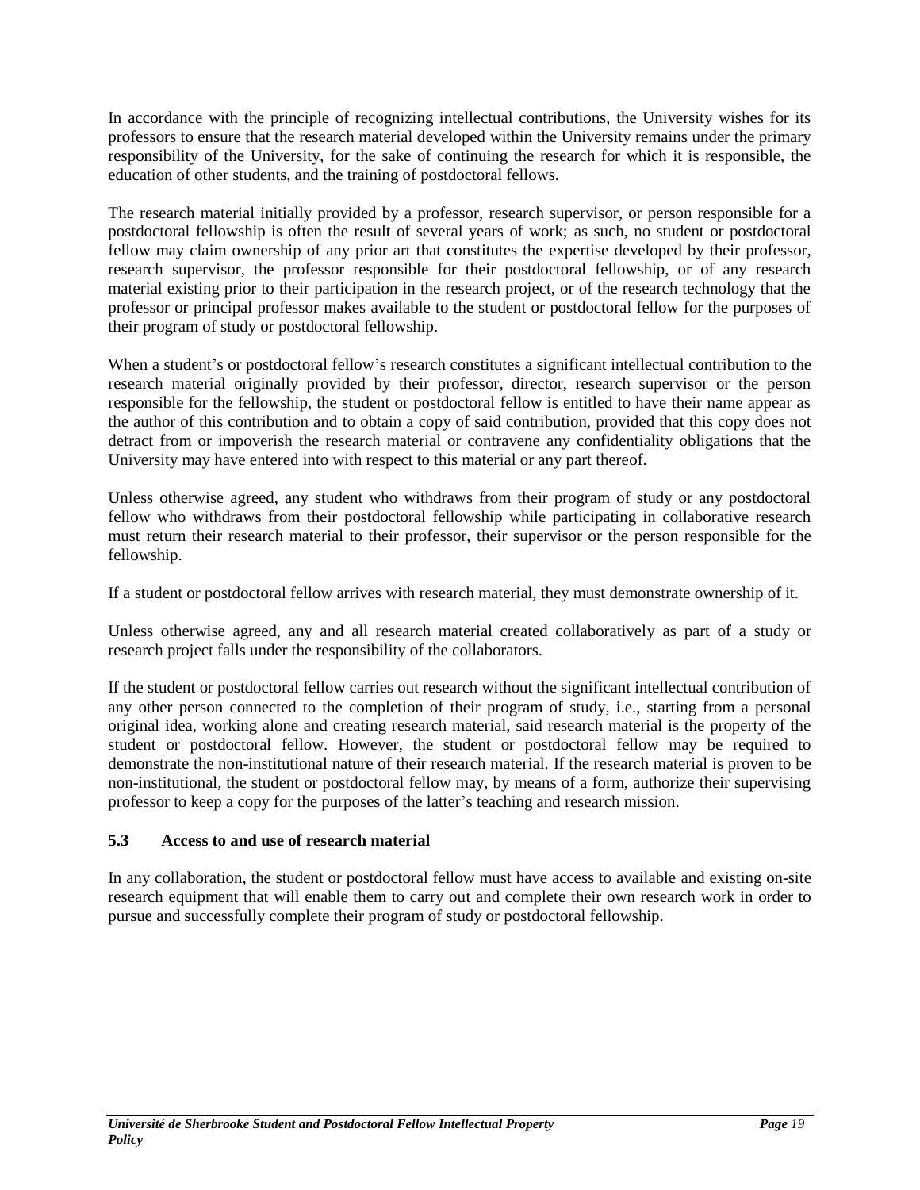In accordance with the principle of recognizing intellectual contributions, the University wishes for its professors to ensure that the research material developed within the University remains under the primary responsibility of the University, for the sake of continuing the research for which it is responsible, the education of other students, and the training of postdoctoral fellows.

The research material initially provided by a professor, research supervisor, or person responsible for a postdoctoral fellowship is often the result of several years of work; as such, no student or postdoctoral fellow may claim ownership of any prior art that constitutes the expertise developed by their professor, research supervisor, the professor responsible for their postdoctoral fellowship, or of any research material existing prior to their participation in the research project, or of the research technology that the professor or principal professor makes available to the student or postdoctoral fellow for the purposes of their program of study or postdoctoral fellowship.

When a student's or postdoctoral fellow's research constitutes a significant intellectual contribution to the research material originally provided by their professor, director, research supervisor or the person responsible for the fellowship, the student or postdoctoral fellow is entitled to have their name appear as the author of this contribution and to obtain a copy of said contribution, provided that this copy does not detract from or impoverish the research material or contravene any confidentiality obligations that the University may have entered into with respect to this material or any part thereof.

Unless otherwise agreed, any student who withdraws from their program of study or any postdoctoral fellow who withdraws from their postdoctoral fellowship while participating in collaborative research must return their research material to their professor, their supervisor or the person responsible for the fellowship.

If a student or postdoctoral fellow arrives with research material, they must demonstrate ownership of it.

Unless otherwise agreed, any and all research material created collaboratively as part of a study or research project falls under the responsibility of the collaborators.

If the student or postdoctoral fellow carries out research without the significant intellectual contribution of any other person connected to the completion of their program of study, i.e., starting from a personal original idea, working alone and creating research material, said research material is the property of the student or postdoctoral fellow. However, the student or postdoctoral fellow may be required to demonstrate the non-institutional nature of their research material. If the research material is proven to be non-institutional, the student or postdoctoral fellow may, by means of a form, authorize their supervising professor to keep a copy for the purposes of the latter's teaching and research mission.

# <span id="page-18-0"></span>**5.3 Access to and use of research material**

In any collaboration, the student or postdoctoral fellow must have access to available and existing on-site research equipment that will enable them to carry out and complete their own research work in order to pursue and successfully complete their program of study or postdoctoral fellowship.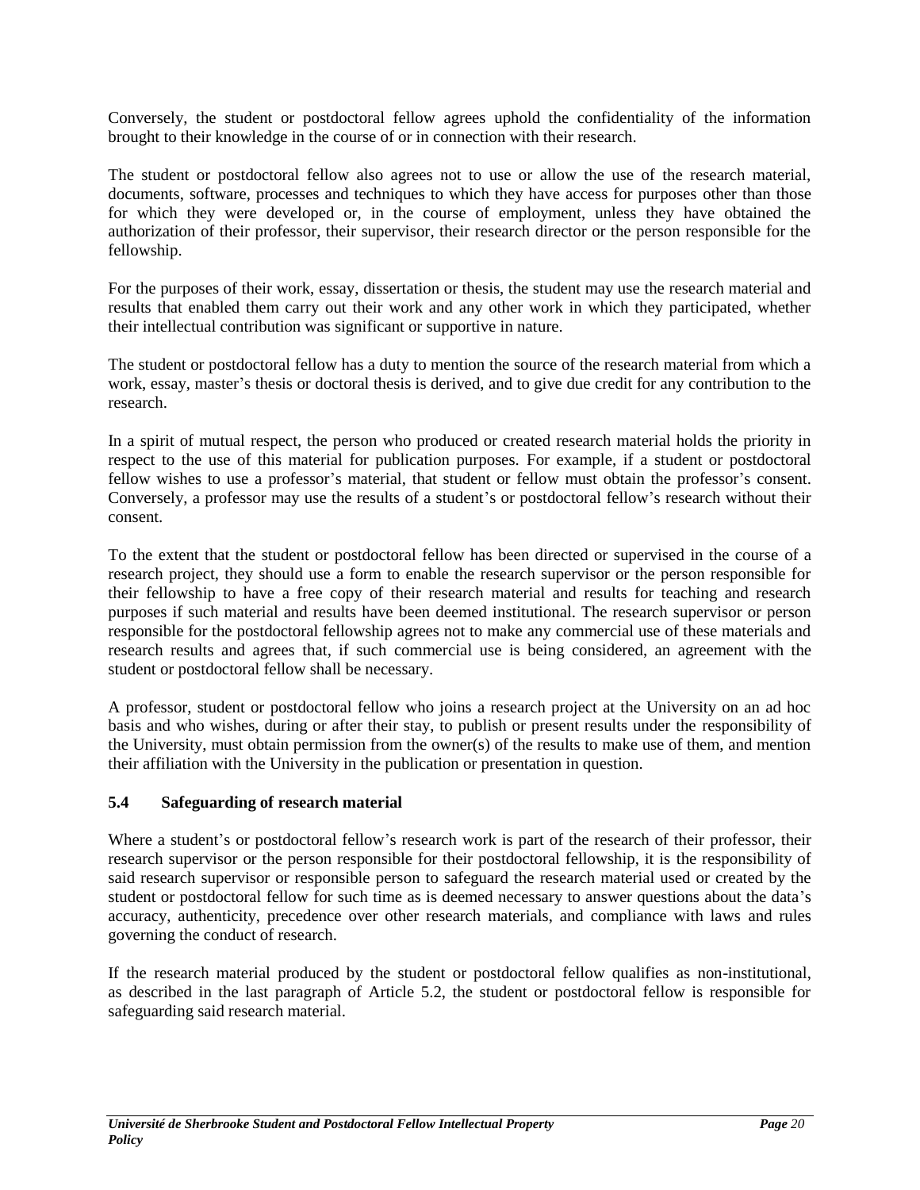Conversely, the student or postdoctoral fellow agrees uphold the confidentiality of the information brought to their knowledge in the course of or in connection with their research.

The student or postdoctoral fellow also agrees not to use or allow the use of the research material, documents, software, processes and techniques to which they have access for purposes other than those for which they were developed or, in the course of employment, unless they have obtained the authorization of their professor, their supervisor, their research director or the person responsible for the fellowship.

For the purposes of their work, essay, dissertation or thesis, the student may use the research material and results that enabled them carry out their work and any other work in which they participated, whether their intellectual contribution was significant or supportive in nature.

The student or postdoctoral fellow has a duty to mention the source of the research material from which a work, essay, master's thesis or doctoral thesis is derived, and to give due credit for any contribution to the research.

In a spirit of mutual respect, the person who produced or created research material holds the priority in respect to the use of this material for publication purposes. For example, if a student or postdoctoral fellow wishes to use a professor's material, that student or fellow must obtain the professor's consent. Conversely, a professor may use the results of a student's or postdoctoral fellow's research without their consent.

To the extent that the student or postdoctoral fellow has been directed or supervised in the course of a research project, they should use a form to enable the research supervisor or the person responsible for their fellowship to have a free copy of their research material and results for teaching and research purposes if such material and results have been deemed institutional. The research supervisor or person responsible for the postdoctoral fellowship agrees not to make any commercial use of these materials and research results and agrees that, if such commercial use is being considered, an agreement with the student or postdoctoral fellow shall be necessary.

A professor, student or postdoctoral fellow who joins a research project at the University on an ad hoc basis and who wishes, during or after their stay, to publish or present results under the responsibility of the University, must obtain permission from the owner(s) of the results to make use of them, and mention their affiliation with the University in the publication or presentation in question.

## <span id="page-19-0"></span>**5.4 Safeguarding of research material**

Where a student's or postdoctoral fellow's research work is part of the research of their professor, their research supervisor or the person responsible for their postdoctoral fellowship, it is the responsibility of said research supervisor or responsible person to safeguard the research material used or created by the student or postdoctoral fellow for such time as is deemed necessary to answer questions about the data's accuracy, authenticity, precedence over other research materials, and compliance with laws and rules governing the conduct of research.

If the research material produced by the student or postdoctoral fellow qualifies as non-institutional, as described in the last paragraph of Article 5.2, the student or postdoctoral fellow is responsible for safeguarding said research material.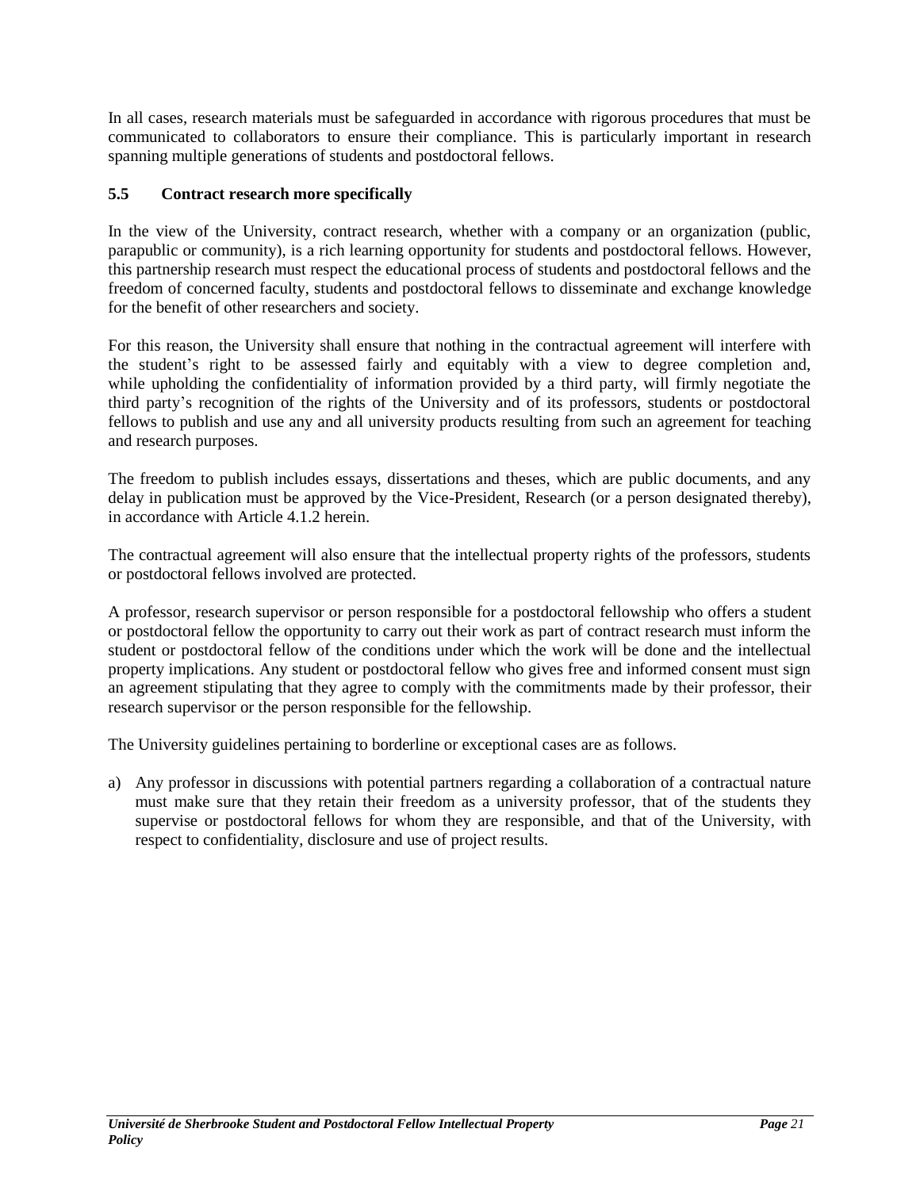In all cases, research materials must be safeguarded in accordance with rigorous procedures that must be communicated to collaborators to ensure their compliance. This is particularly important in research spanning multiple generations of students and postdoctoral fellows.

## <span id="page-20-0"></span>**5.5 Contract research more specifically**

In the view of the University, contract research, whether with a company or an organization (public, parapublic or community), is a rich learning opportunity for students and postdoctoral fellows. However, this partnership research must respect the educational process of students and postdoctoral fellows and the freedom of concerned faculty, students and postdoctoral fellows to disseminate and exchange knowledge for the benefit of other researchers and society.

For this reason, the University shall ensure that nothing in the contractual agreement will interfere with the student's right to be assessed fairly and equitably with a view to degree completion and, while upholding the confidentiality of information provided by a third party, will firmly negotiate the third party's recognition of the rights of the University and of its professors, students or postdoctoral fellows to publish and use any and all university products resulting from such an agreement for teaching and research purposes.

The freedom to publish includes essays, dissertations and theses, which are public documents, and any delay in publication must be approved by the Vice-President, Research (or a person designated thereby), in accordance with Article 4.1.2 herein.

The contractual agreement will also ensure that the intellectual property rights of the professors, students or postdoctoral fellows involved are protected.

A professor, research supervisor or person responsible for a postdoctoral fellowship who offers a student or postdoctoral fellow the opportunity to carry out their work as part of contract research must inform the student or postdoctoral fellow of the conditions under which the work will be done and the intellectual property implications. Any student or postdoctoral fellow who gives free and informed consent must sign an agreement stipulating that they agree to comply with the commitments made by their professor, their research supervisor or the person responsible for the fellowship.

The University guidelines pertaining to borderline or exceptional cases are as follows.

a) Any professor in discussions with potential partners regarding a collaboration of a contractual nature must make sure that they retain their freedom as a university professor, that of the students they supervise or postdoctoral fellows for whom they are responsible, and that of the University, with respect to confidentiality, disclosure and use of project results.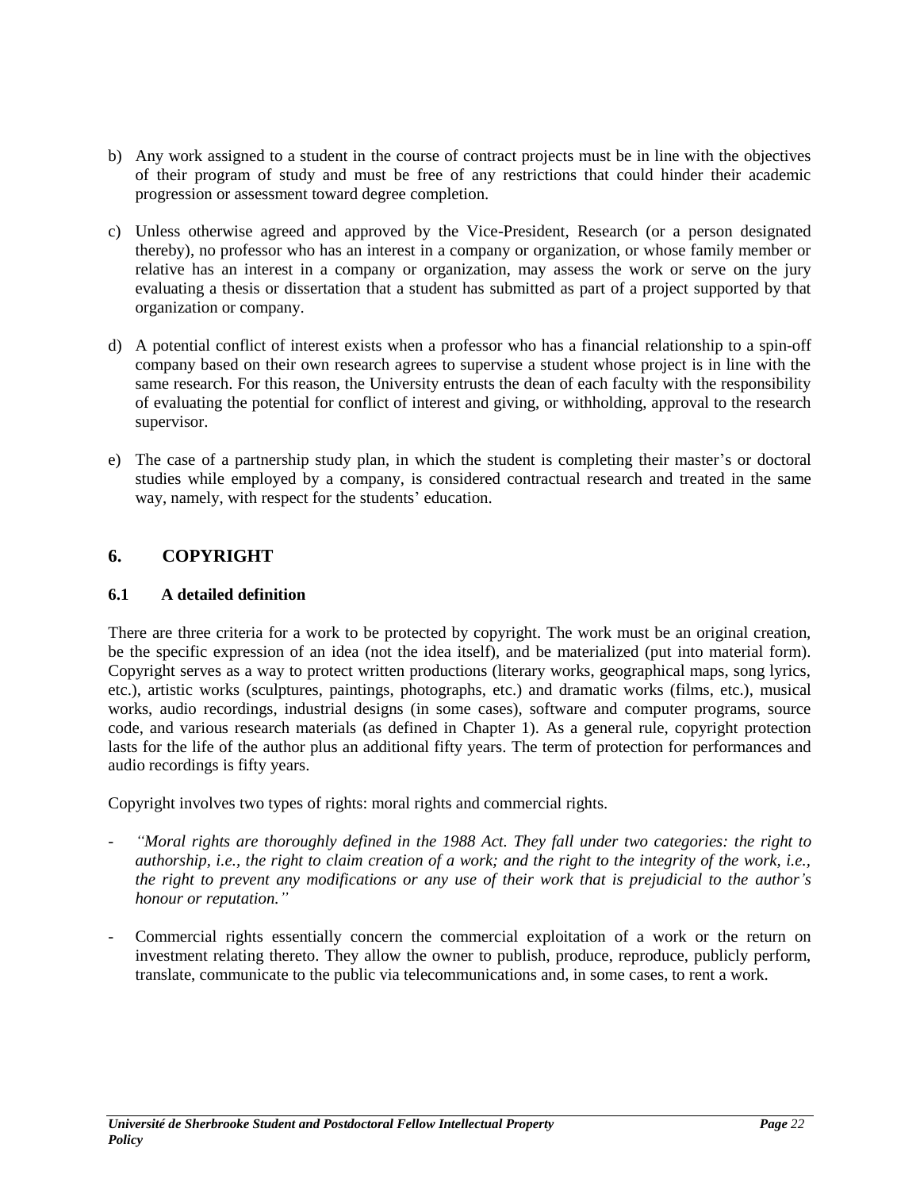- b) Any work assigned to a student in the course of contract projects must be in line with the objectives of their program of study and must be free of any restrictions that could hinder their academic progression or assessment toward degree completion.
- c) Unless otherwise agreed and approved by the Vice-President, Research (or a person designated thereby), no professor who has an interest in a company or organization, or whose family member or relative has an interest in a company or organization, may assess the work or serve on the jury evaluating a thesis or dissertation that a student has submitted as part of a project supported by that organization or company.
- d) A potential conflict of interest exists when a professor who has a financial relationship to a spin-off company based on their own research agrees to supervise a student whose project is in line with the same research. For this reason, the University entrusts the dean of each faculty with the responsibility of evaluating the potential for conflict of interest and giving, or withholding, approval to the research supervisor.
- e) The case of a partnership study plan, in which the student is completing their master's or doctoral studies while employed by a company, is considered contractual research and treated in the same way, namely, with respect for the students' education.

# <span id="page-21-0"></span>**6. COPYRIGHT**

## <span id="page-21-1"></span>**6.1 A detailed definition**

There are three criteria for a work to be protected by copyright. The work must be an original creation, be the specific expression of an idea (not the idea itself), and be materialized (put into material form). Copyright serves as a way to protect written productions (literary works, geographical maps, song lyrics, etc.), artistic works (sculptures, paintings, photographs, etc.) and dramatic works (films, etc.), musical works, audio recordings, industrial designs (in some cases), software and computer programs, source code, and various research materials (as defined in Chapter 1). As a general rule, copyright protection lasts for the life of the author plus an additional fifty years. The term of protection for performances and audio recordings is fifty years.

Copyright involves two types of rights: moral rights and commercial rights.

- *"Moral rights are thoroughly defined in the 1988 Act. They fall under two categories: the right to authorship, i.e., the right to claim creation of a work; and the right to the integrity of the work, i.e., the right to prevent any modifications or any use of their work that is prejudicial to the author's honour or reputation."*
- Commercial rights essentially concern the commercial exploitation of a work or the return on investment relating thereto. They allow the owner to publish, produce, reproduce, publicly perform, translate, communicate to the public via telecommunications and, in some cases, to rent a work.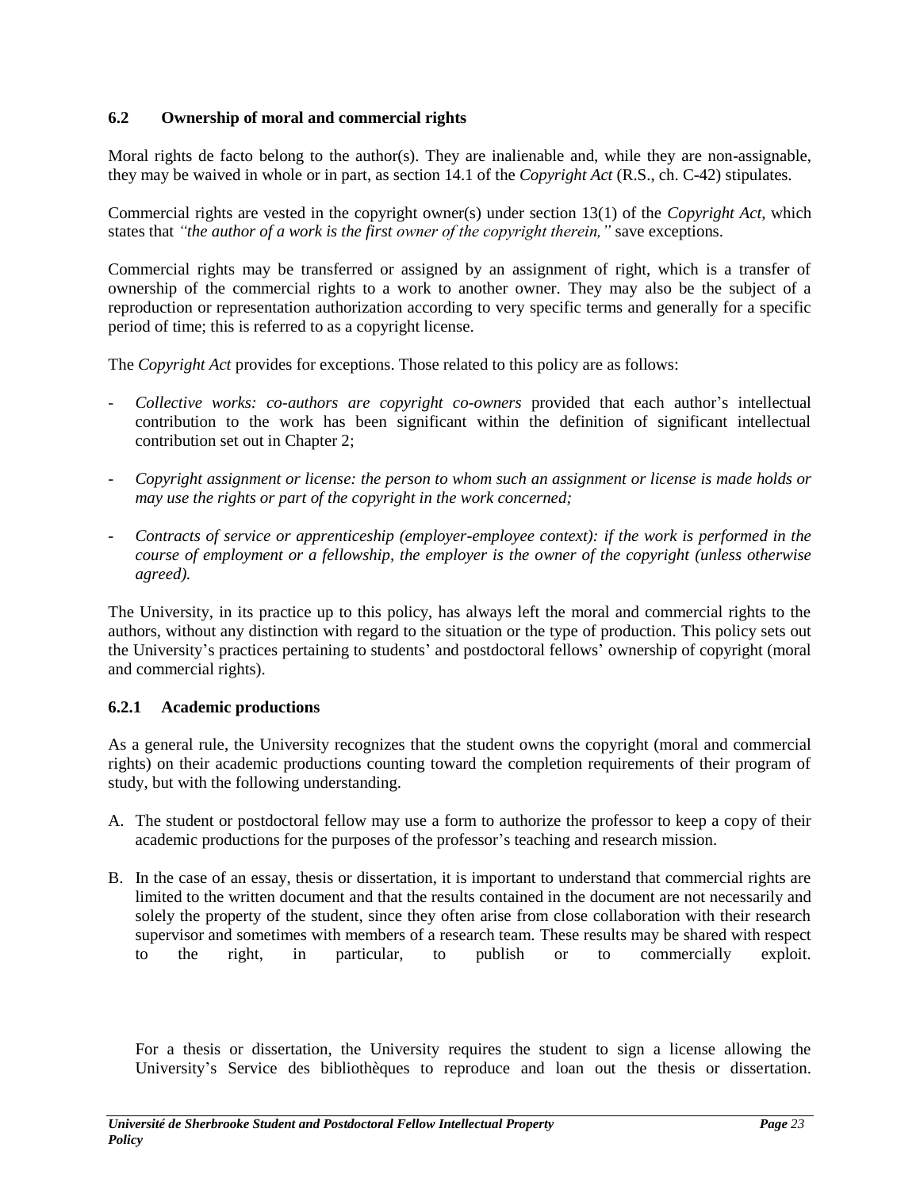## <span id="page-22-0"></span>**6.2 Ownership of moral and commercial rights**

Moral rights de facto belong to the author(s). They are inalienable and, while they are non-assignable, they may be waived in whole or in part, as section 14.1 of the *Copyright Act* (R.S., ch. C-42) stipulates.

Commercial rights are vested in the copyright owner(s) under section 13(1) of the *Copyright Act*, which states that *"the author of a work is the first owner of the copyright therein,"* save exceptions.

Commercial rights may be transferred or assigned by an assignment of right, which is a transfer of ownership of the commercial rights to a work to another owner. They may also be the subject of a reproduction or representation authorization according to very specific terms and generally for a specific period of time; this is referred to as a copyright license.

The *Copyright Act* provides for exceptions. Those related to this policy are as follows:

- *Collective works: co-authors are copyright co-owners* provided that each author's intellectual contribution to the work has been significant within the definition of significant intellectual contribution set out in Chapter 2;
- *Copyright assignment or license: the person to whom such an assignment or license is made holds or may use the rights or part of the copyright in the work concerned;*
- *Contracts of service or apprenticeship (employer-employee context): if the work is performed in the course of employment or a fellowship, the employer is the owner of the copyright (unless otherwise agreed).*

The University, in its practice up to this policy, has always left the moral and commercial rights to the authors, without any distinction with regard to the situation or the type of production. This policy sets out the University's practices pertaining to students' and postdoctoral fellows' ownership of copyright (moral and commercial rights).

## <span id="page-22-1"></span>**6.2.1 Academic productions**

As a general rule, the University recognizes that the student owns the copyright (moral and commercial rights) on their academic productions counting toward the completion requirements of their program of study, but with the following understanding.

- A. The student or postdoctoral fellow may use a form to authorize the professor to keep a copy of their academic productions for the purposes of the professor's teaching and research mission.
- B. In the case of an essay, thesis or dissertation, it is important to understand that commercial rights are limited to the written document and that the results contained in the document are not necessarily and solely the property of the student, since they often arise from close collaboration with their research supervisor and sometimes with members of a research team. These results may be shared with respect to the right, in particular, to publish or to commercially exploit.

For a thesis or dissertation, the University requires the student to sign a license allowing the University's Service des bibliothèques to reproduce and loan out the thesis or dissertation.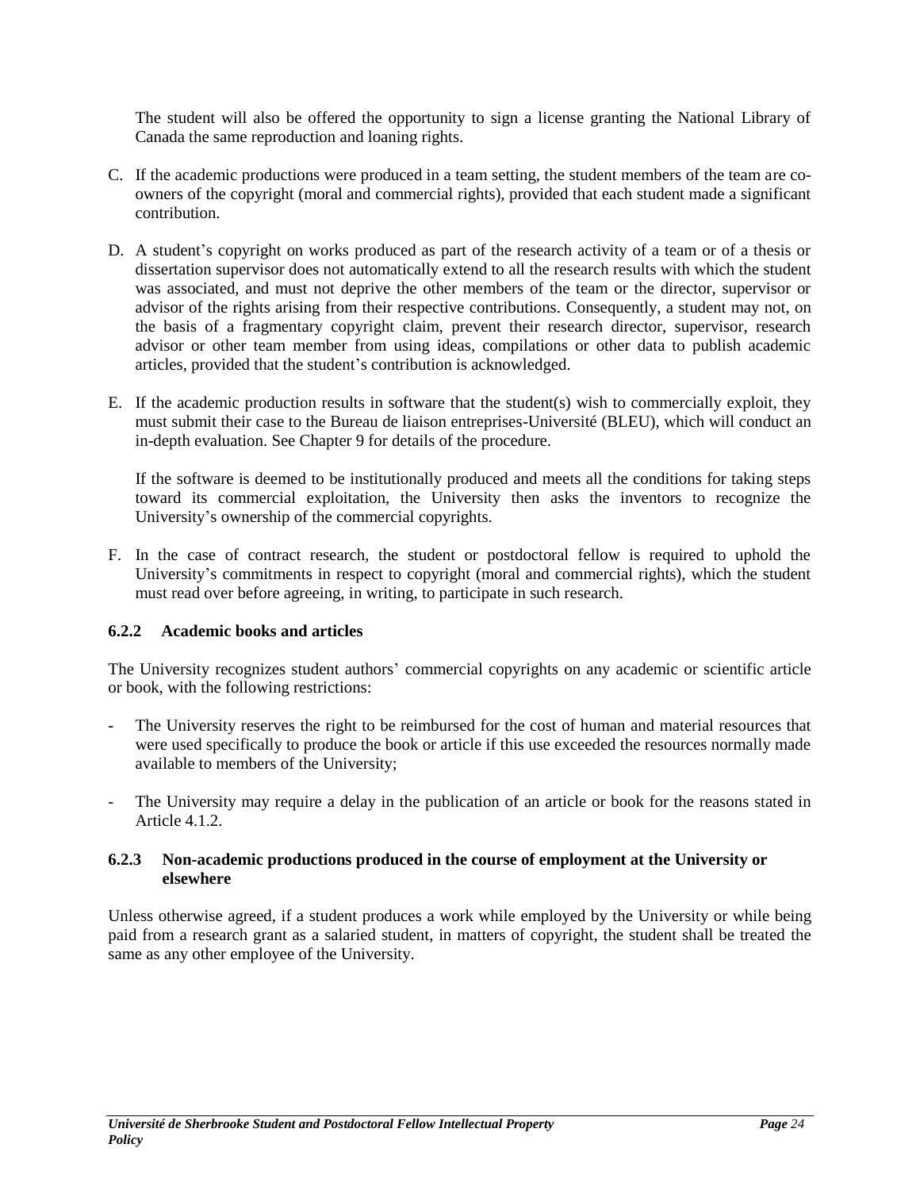The student will also be offered the opportunity to sign a license granting the National Library of Canada the same reproduction and loaning rights.

- C. If the academic productions were produced in a team setting, the student members of the team are coowners of the copyright (moral and commercial rights), provided that each student made a significant contribution.
- D. A student's copyright on works produced as part of the research activity of a team or of a thesis or dissertation supervisor does not automatically extend to all the research results with which the student was associated, and must not deprive the other members of the team or the director, supervisor or advisor of the rights arising from their respective contributions. Consequently, a student may not, on the basis of a fragmentary copyright claim, prevent their research director, supervisor, research advisor or other team member from using ideas, compilations or other data to publish academic articles, provided that the student's contribution is acknowledged.
- E. If the academic production results in software that the student(s) wish to commercially exploit, they must submit their case to the Bureau de liaison entreprises-Université (BLEU), which will conduct an in-depth evaluation. See Chapter 9 for details of the procedure.

If the software is deemed to be institutionally produced and meets all the conditions for taking steps toward its commercial exploitation, the University then asks the inventors to recognize the University's ownership of the commercial copyrights.

F. In the case of contract research, the student or postdoctoral fellow is required to uphold the University's commitments in respect to copyright (moral and commercial rights), which the student must read over before agreeing, in writing, to participate in such research.

## <span id="page-23-0"></span>**6.2.2 Academic books and articles**

The University recognizes student authors' commercial copyrights on any academic or scientific article or book, with the following restrictions:

- The University reserves the right to be reimbursed for the cost of human and material resources that were used specifically to produce the book or article if this use exceeded the resources normally made available to members of the University;
- The University may require a delay in the publication of an article or book for the reasons stated in Article 4.1.2.

## <span id="page-23-1"></span>**6.2.3 Non-academic productions produced in the course of employment at the University or elsewhere**

Unless otherwise agreed, if a student produces a work while employed by the University or while being paid from a research grant as a salaried student, in matters of copyright, the student shall be treated the same as any other employee of the University.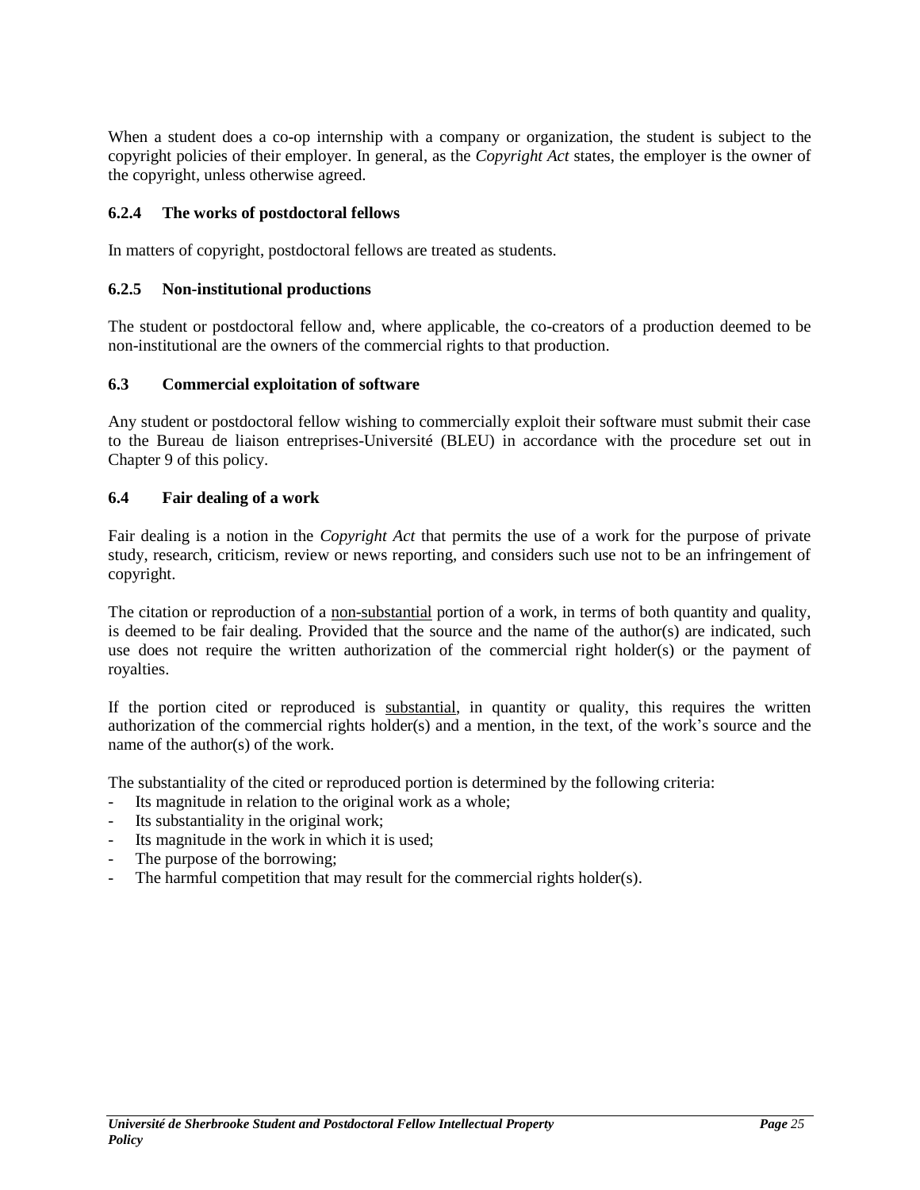When a student does a co-op internship with a company or organization, the student is subject to the copyright policies of their employer. In general, as the *Copyright Act* states, the employer is the owner of the copyright, unless otherwise agreed.

## <span id="page-24-0"></span>**6.2.4 The works of postdoctoral fellows**

In matters of copyright, postdoctoral fellows are treated as students.

## <span id="page-24-1"></span>**6.2.5 Non-institutional productions**

The student or postdoctoral fellow and, where applicable, the co-creators of a production deemed to be non-institutional are the owners of the commercial rights to that production.

## <span id="page-24-2"></span>**6.3 Commercial exploitation of software**

Any student or postdoctoral fellow wishing to commercially exploit their software must submit their case to the Bureau de liaison entreprises-Université (BLEU) in accordance with the procedure set out in Chapter 9 of this policy.

#### <span id="page-24-3"></span>**6.4 Fair dealing of a work**

Fair dealing is a notion in the *Copyright Act* that permits the use of a work for the purpose of private study, research, criticism, review or news reporting, and considers such use not to be an infringement of copyright.

The citation or reproduction of a non-substantial portion of a work, in terms of both quantity and quality, is deemed to be fair dealing. Provided that the source and the name of the author(s) are indicated, such use does not require the written authorization of the commercial right holder(s) or the payment of royalties.

If the portion cited or reproduced is substantial, in quantity or quality, this requires the written authorization of the commercial rights holder(s) and a mention, in the text, of the work's source and the name of the author(s) of the work.

The substantiality of the cited or reproduced portion is determined by the following criteria:

- Its magnitude in relation to the original work as a whole;
- Its substantiality in the original work;
- Its magnitude in the work in which it is used;
- The purpose of the borrowing;
- The harmful competition that may result for the commercial rights holder(s).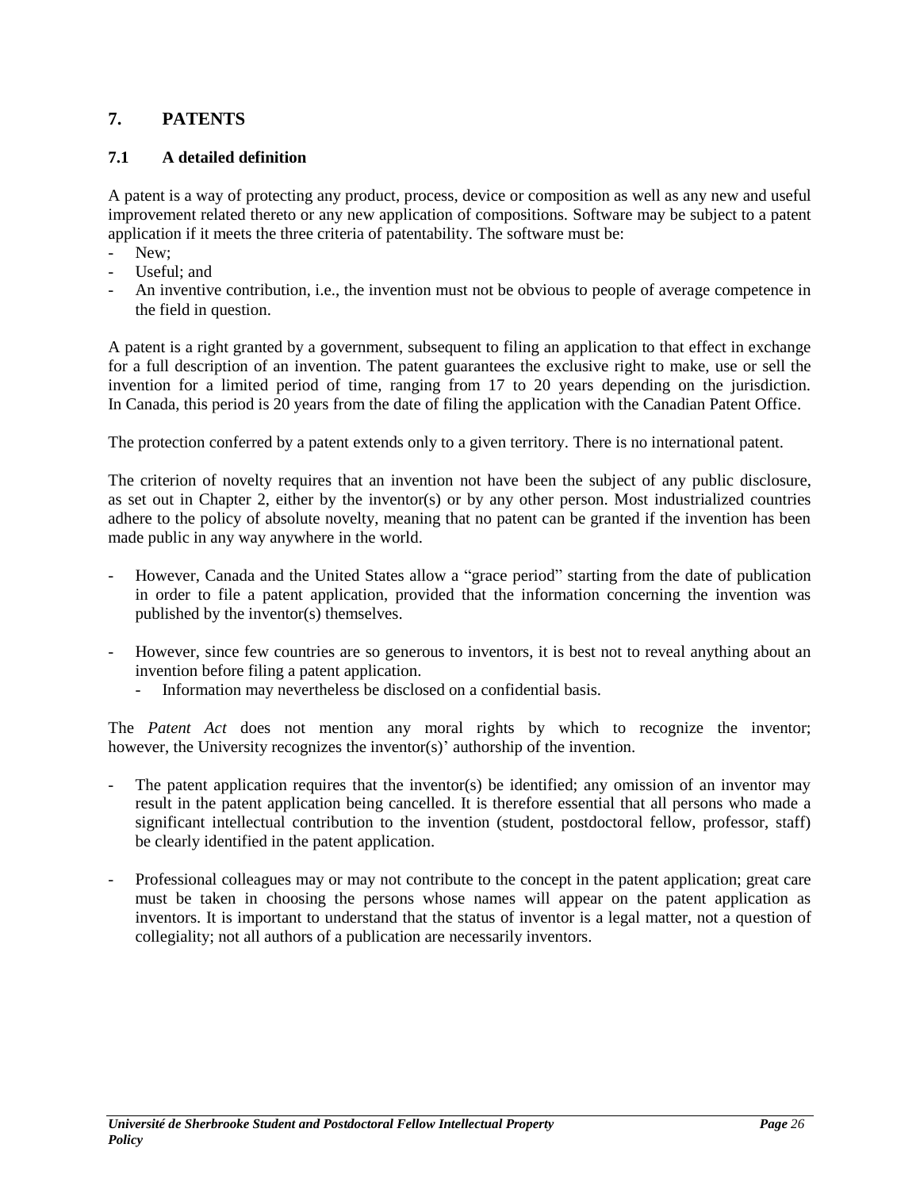# <span id="page-25-0"></span>**7. PATENTS**

## <span id="page-25-1"></span>**7.1 A detailed definition**

A patent is a way of protecting any product, process, device or composition as well as any new and useful improvement related thereto or any new application of compositions. Software may be subject to a patent application if it meets the three criteria of patentability. The software must be:

- New:
- Useful: and
- An inventive contribution, i.e., the invention must not be obvious to people of average competence in the field in question.

A patent is a right granted by a government, subsequent to filing an application to that effect in exchange for a full description of an invention. The patent guarantees the exclusive right to make, use or sell the invention for a limited period of time, ranging from 17 to 20 years depending on the jurisdiction. In Canada, this period is 20 years from the date of filing the application with the Canadian Patent Office.

The protection conferred by a patent extends only to a given territory. There is no international patent.

The criterion of novelty requires that an invention not have been the subject of any public disclosure, as set out in Chapter 2, either by the inventor(s) or by any other person. Most industrialized countries adhere to the policy of absolute novelty, meaning that no patent can be granted if the invention has been made public in any way anywhere in the world.

- However, Canada and the United States allow a "grace period" starting from the date of publication in order to file a patent application, provided that the information concerning the invention was published by the inventor(s) themselves.
- However, since few countries are so generous to inventors, it is best not to reveal anything about an invention before filing a patent application.
	- Information may nevertheless be disclosed on a confidential basis.

The *Patent Act* does not mention any moral rights by which to recognize the inventor; however, the University recognizes the inventor(s)' authorship of the invention.

- The patent application requires that the inventor(s) be identified; any omission of an inventor may result in the patent application being cancelled. It is therefore essential that all persons who made a significant intellectual contribution to the invention (student, postdoctoral fellow, professor, staff) be clearly identified in the patent application.
- Professional colleagues may or may not contribute to the concept in the patent application; great care must be taken in choosing the persons whose names will appear on the patent application as inventors. It is important to understand that the status of inventor is a legal matter, not a question of collegiality; not all authors of a publication are necessarily inventors.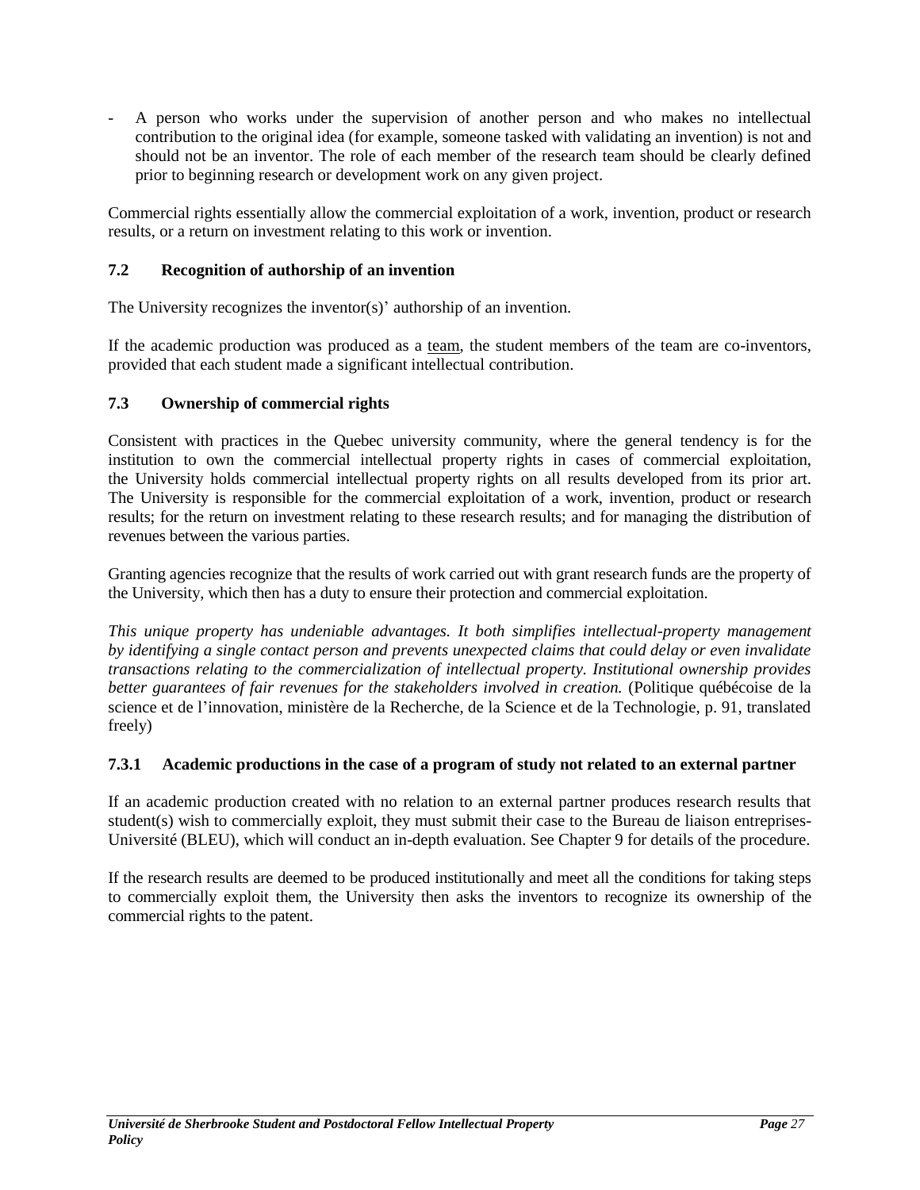- A person who works under the supervision of another person and who makes no intellectual contribution to the original idea (for example, someone tasked with validating an invention) is not and should not be an inventor. The role of each member of the research team should be clearly defined prior to beginning research or development work on any given project.

Commercial rights essentially allow the commercial exploitation of a work, invention, product or research results, or a return on investment relating to this work or invention.

## <span id="page-26-0"></span>**7.2 Recognition of authorship of an invention**

The University recognizes the inventor(s)' authorship of an invention.

If the academic production was produced as a team, the student members of the team are co-inventors, provided that each student made a significant intellectual contribution.

## <span id="page-26-1"></span>**7.3 Ownership of commercial rights**

Consistent with practices in the Quebec university community, where the general tendency is for the institution to own the commercial intellectual property rights in cases of commercial exploitation, the University holds commercial intellectual property rights on all results developed from its prior art. The University is responsible for the commercial exploitation of a work, invention, product or research results; for the return on investment relating to these research results; and for managing the distribution of revenues between the various parties.

Granting agencies recognize that the results of work carried out with grant research funds are the property of the University, which then has a duty to ensure their protection and commercial exploitation.

*This unique property has undeniable advantages. It both simplifies intellectual-property management by identifying a single contact person and prevents unexpected claims that could delay or even invalidate transactions relating to the commercialization of intellectual property. Institutional ownership provides better guarantees of fair revenues for the stakeholders involved in creation.* (Politique québécoise de la science et de l'innovation, ministère de la Recherche, de la Science et de la Technologie, p. 91, translated freely)

## <span id="page-26-2"></span>**7.3.1 Academic productions in the case of a program of study not related to an external partner**

If an academic production created with no relation to an external partner produces research results that student(s) wish to commercially exploit, they must submit their case to the Bureau de liaison entreprises-Université (BLEU), which will conduct an in-depth evaluation. See Chapter 9 for details of the procedure.

If the research results are deemed to be produced institutionally and meet all the conditions for taking steps to commercially exploit them, the University then asks the inventors to recognize its ownership of the commercial rights to the patent.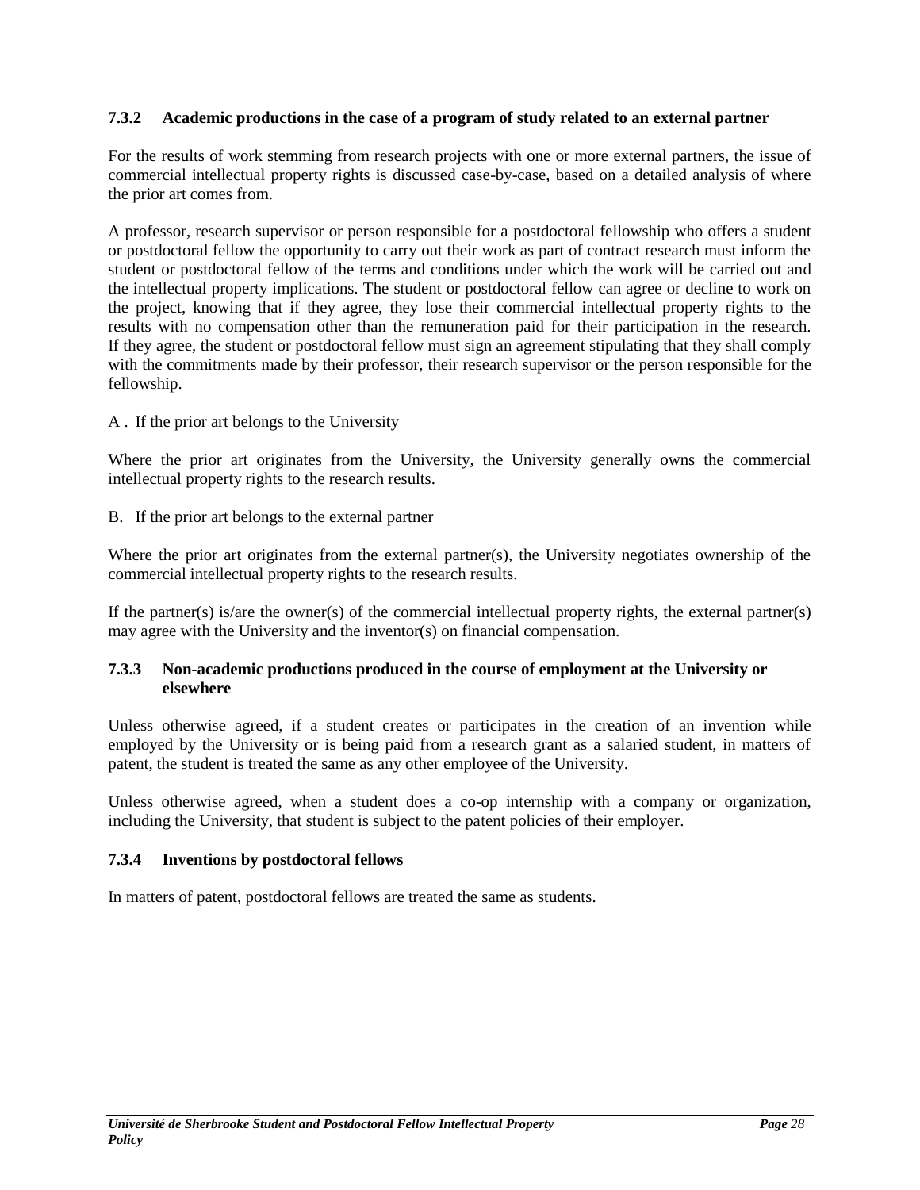## <span id="page-27-0"></span>**7.3.2 Academic productions in the case of a program of study related to an external partner**

For the results of work stemming from research projects with one or more external partners, the issue of commercial intellectual property rights is discussed case-by-case, based on a detailed analysis of where the prior art comes from.

A professor, research supervisor or person responsible for a postdoctoral fellowship who offers a student or postdoctoral fellow the opportunity to carry out their work as part of contract research must inform the student or postdoctoral fellow of the terms and conditions under which the work will be carried out and the intellectual property implications. The student or postdoctoral fellow can agree or decline to work on the project, knowing that if they agree, they lose their commercial intellectual property rights to the results with no compensation other than the remuneration paid for their participation in the research. If they agree, the student or postdoctoral fellow must sign an agreement stipulating that they shall comply with the commitments made by their professor, their research supervisor or the person responsible for the fellowship.

## A . If the prior art belongs to the University

Where the prior art originates from the University, the University generally owns the commercial intellectual property rights to the research results.

B. If the prior art belongs to the external partner

Where the prior art originates from the external partner(s), the University negotiates ownership of the commercial intellectual property rights to the research results.

If the partner(s) is/are the owner(s) of the commercial intellectual property rights, the external partner(s) may agree with the University and the inventor(s) on financial compensation.

## <span id="page-27-1"></span>**7.3.3 Non-academic productions produced in the course of employment at the University or elsewhere**

Unless otherwise agreed, if a student creates or participates in the creation of an invention while employed by the University or is being paid from a research grant as a salaried student, in matters of patent, the student is treated the same as any other employee of the University.

Unless otherwise agreed, when a student does a co-op internship with a company or organization, including the University, that student is subject to the patent policies of their employer.

## <span id="page-27-2"></span>**7.3.4 Inventions by postdoctoral fellows**

In matters of patent, postdoctoral fellows are treated the same as students.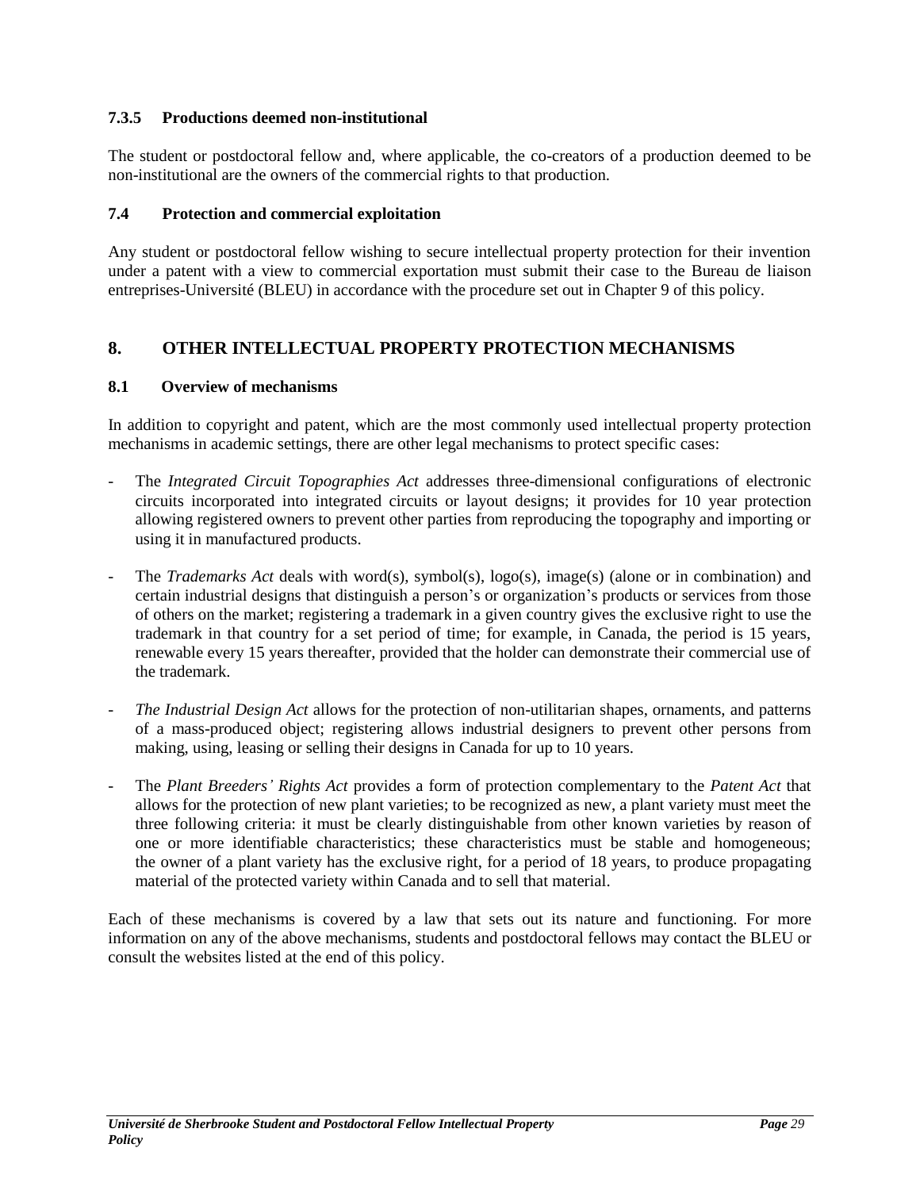## <span id="page-28-0"></span>**7.3.5 Productions deemed non-institutional**

The student or postdoctoral fellow and, where applicable, the co-creators of a production deemed to be non-institutional are the owners of the commercial rights to that production.

## <span id="page-28-1"></span>**7.4 Protection and commercial exploitation**

Any student or postdoctoral fellow wishing to secure intellectual property protection for their invention under a patent with a view to commercial exportation must submit their case to the Bureau de liaison entreprises-Université (BLEU) in accordance with the procedure set out in Chapter 9 of this policy.

# <span id="page-28-2"></span>**8. OTHER INTELLECTUAL PROPERTY PROTECTION MECHANISMS**

#### <span id="page-28-3"></span>**8.1 Overview of mechanisms**

In addition to copyright and patent, which are the most commonly used intellectual property protection mechanisms in academic settings, there are other legal mechanisms to protect specific cases:

- The *Integrated Circuit Topographies Act* addresses three-dimensional configurations of electronic circuits incorporated into integrated circuits or layout designs; it provides for 10 year protection allowing registered owners to prevent other parties from reproducing the topography and importing or using it in manufactured products.
- The *Trademarks Act* deals with word(s), symbol(s), logo(s), image(s) (alone or in combination) and certain industrial designs that distinguish a person's or organization's products or services from those of others on the market; registering a trademark in a given country gives the exclusive right to use the trademark in that country for a set period of time; for example, in Canada, the period is 15 years, renewable every 15 years thereafter, provided that the holder can demonstrate their commercial use of the trademark.
- The Industrial Design Act allows for the protection of non-utilitarian shapes, ornaments, and patterns of a mass-produced object; registering allows industrial designers to prevent other persons from making, using, leasing or selling their designs in Canada for up to 10 years.
- The *Plant Breeders' Rights Act* provides a form of protection complementary to the *Patent Act* that allows for the protection of new plant varieties; to be recognized as new, a plant variety must meet the three following criteria: it must be clearly distinguishable from other known varieties by reason of one or more identifiable characteristics; these characteristics must be stable and homogeneous; the owner of a plant variety has the exclusive right, for a period of 18 years, to produce propagating material of the protected variety within Canada and to sell that material.

Each of these mechanisms is covered by a law that sets out its nature and functioning. For more information on any of the above mechanisms, students and postdoctoral fellows may contact the BLEU or consult the websites listed at the end of this policy.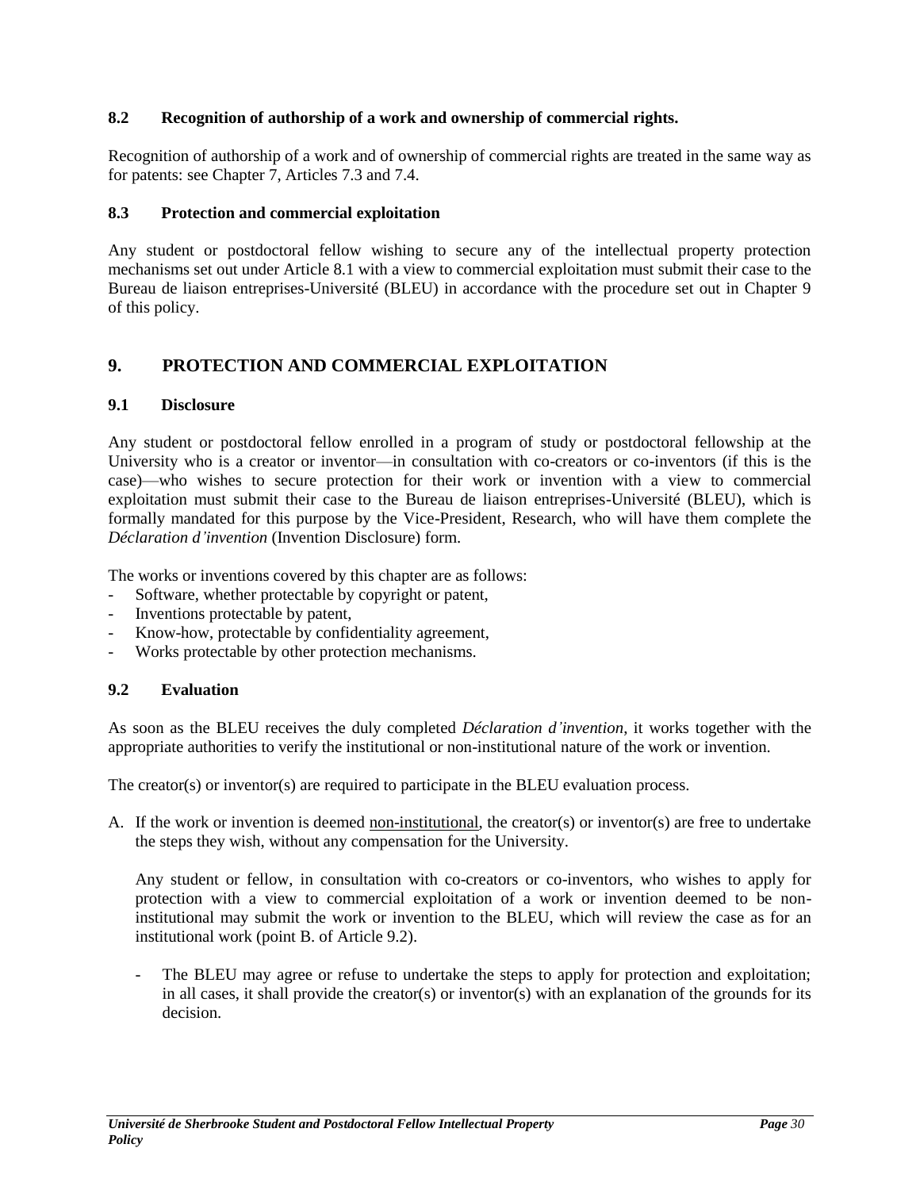## <span id="page-29-0"></span>**8.2 Recognition of authorship of a work and ownership of commercial rights.**

Recognition of authorship of a work and of ownership of commercial rights are treated in the same way as for patents: see Chapter 7, Articles 7.3 and 7.4.

#### <span id="page-29-1"></span>**8.3 Protection and commercial exploitation**

Any student or postdoctoral fellow wishing to secure any of the intellectual property protection mechanisms set out under Article 8.1 with a view to commercial exploitation must submit their case to the Bureau de liaison entreprises-Université (BLEU) in accordance with the procedure set out in Chapter 9 of this policy.

## <span id="page-29-2"></span>**9. PROTECTION AND COMMERCIAL EXPLOITATION**

## <span id="page-29-3"></span>**9.1 Disclosure**

Any student or postdoctoral fellow enrolled in a program of study or postdoctoral fellowship at the University who is a creator or inventor—in consultation with co-creators or co-inventors (if this is the case)—who wishes to secure protection for their work or invention with a view to commercial exploitation must submit their case to the Bureau de liaison entreprises-Université (BLEU), which is formally mandated for this purpose by the Vice-President, Research, who will have them complete the *Déclaration d'invention* (Invention Disclosure) form.

The works or inventions covered by this chapter are as follows:

- Software, whether protectable by copyright or patent,
- Inventions protectable by patent,
- Know-how, protectable by confidentiality agreement,
- Works protectable by other protection mechanisms.

## <span id="page-29-4"></span>**9.2 Evaluation**

As soon as the BLEU receives the duly completed *Déclaration d'invention*, it works together with the appropriate authorities to verify the institutional or non-institutional nature of the work or invention.

The creator(s) or inventor(s) are required to participate in the BLEU evaluation process.

A. If the work or invention is deemed non-institutional, the creator(s) or inventor(s) are free to undertake the steps they wish, without any compensation for the University.

Any student or fellow, in consultation with co-creators or co-inventors, who wishes to apply for protection with a view to commercial exploitation of a work or invention deemed to be noninstitutional may submit the work or invention to the BLEU, which will review the case as for an institutional work (point B. of Article 9.2).

The BLEU may agree or refuse to undertake the steps to apply for protection and exploitation; in all cases, it shall provide the creator(s) or inventor(s) with an explanation of the grounds for its decision.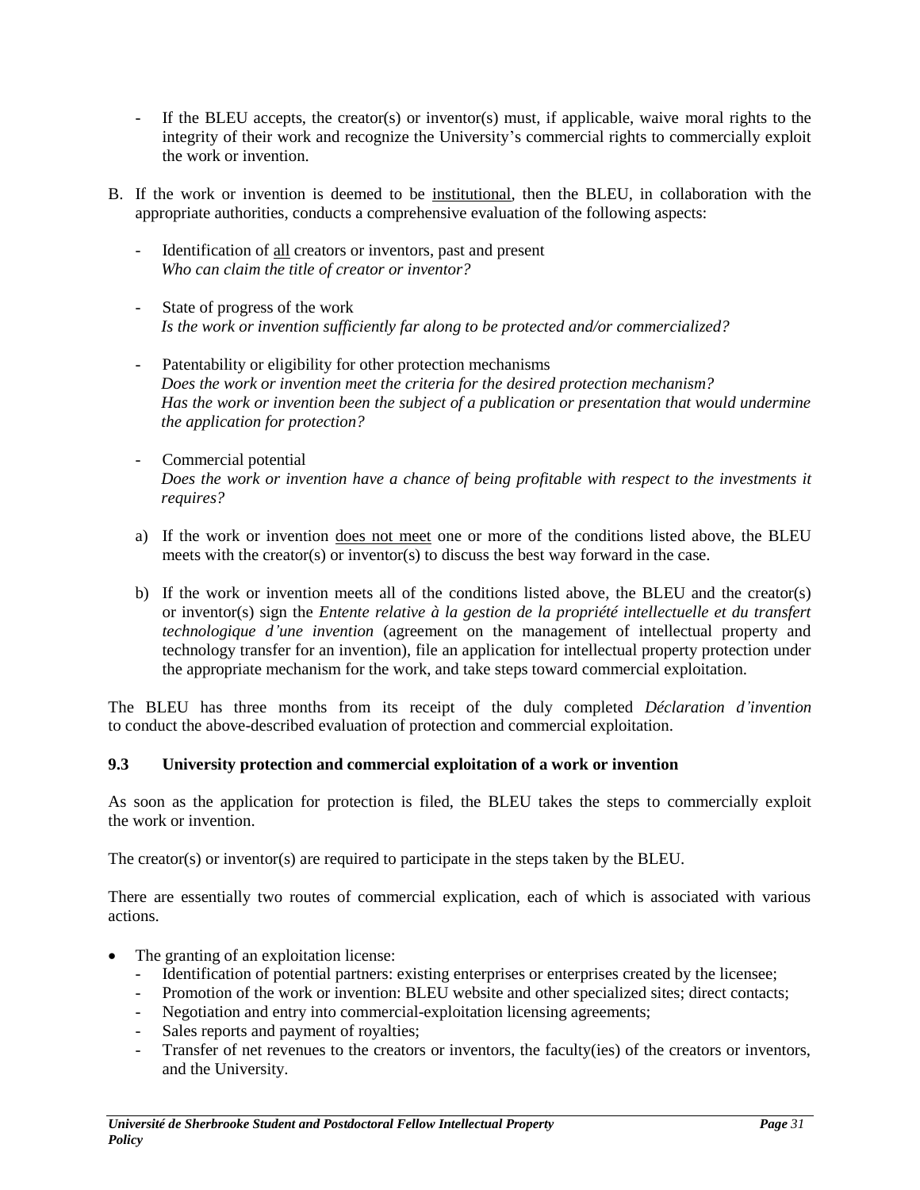- If the BLEU accepts, the creator(s) or inventor(s) must, if applicable, waive moral rights to the integrity of their work and recognize the University's commercial rights to commercially exploit the work or invention.
- B. If the work or invention is deemed to be institutional, then the BLEU, in collaboration with the appropriate authorities, conducts a comprehensive evaluation of the following aspects:
	- Identification of all creators or inventors, past and present *Who can claim the title of creator or inventor?*
	- State of progress of the work *Is the work or invention sufficiently far along to be protected and/or commercialized?*
	- Patentability or eligibility for other protection mechanisms *Does the work or invention meet the criteria for the desired protection mechanism? Has the work or invention been the subject of a publication or presentation that would undermine the application for protection?*
	- Commercial potential *Does the work or invention have a chance of being profitable with respect to the investments it requires?*
	- a) If the work or invention does not meet one or more of the conditions listed above, the BLEU meets with the creator(s) or inventor(s) to discuss the best way forward in the case.
	- b) If the work or invention meets all of the conditions listed above, the BLEU and the creator(s) or inventor(s) sign the *Entente relative à la gestion de la propriété intellectuelle et du transfert technologique d'une invention* (agreement on the management of intellectual property and technology transfer for an invention), file an application for intellectual property protection under the appropriate mechanism for the work, and take steps toward commercial exploitation.

The BLEU has three months from its receipt of the duly completed *Déclaration d'invention*  to conduct the above-described evaluation of protection and commercial exploitation.

## <span id="page-30-0"></span>**9.3 University protection and commercial exploitation of a work or invention**

As soon as the application for protection is filed, the BLEU takes the steps to commercially exploit the work or invention.

The creator(s) or inventor(s) are required to participate in the steps taken by the BLEU.

There are essentially two routes of commercial explication, each of which is associated with various actions.

- The granting of an exploitation license:
	- Identification of potential partners: existing enterprises or enterprises created by the licensee;
	- Promotion of the work or invention: BLEU website and other specialized sites; direct contacts;
	- Negotiation and entry into commercial-exploitation licensing agreements;
	- Sales reports and payment of royalties;
	- Transfer of net revenues to the creators or inventors, the faculty(ies) of the creators or inventors, and the University.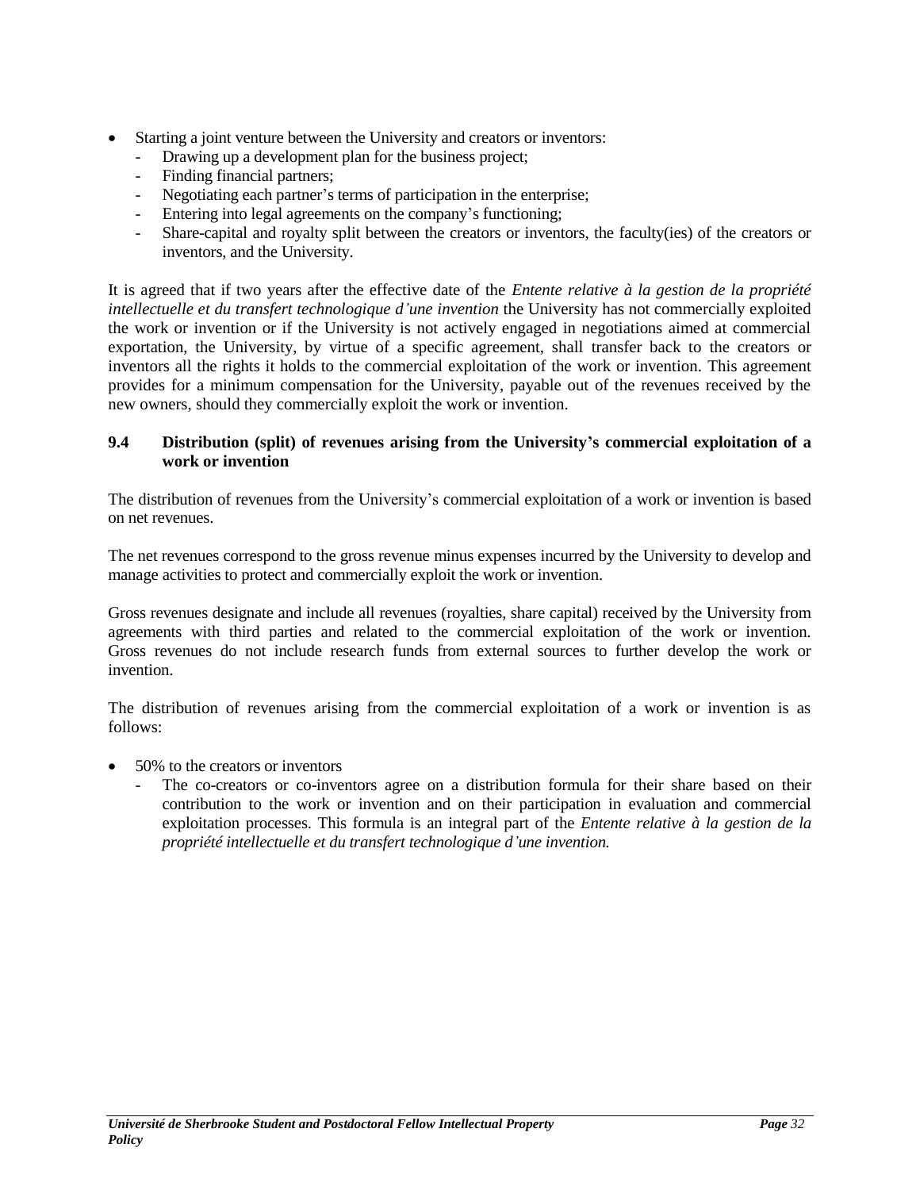- Starting a joint venture between the University and creators or inventors:
	- Drawing up a development plan for the business project;
	- Finding financial partners;
	- Negotiating each partner's terms of participation in the enterprise;
	- Entering into legal agreements on the company's functioning;
	- Share-capital and royalty split between the creators or inventors, the faculty(ies) of the creators or inventors, and the University.

It is agreed that if two years after the effective date of the *Entente relative à la gestion de la propriété intellectuelle et du transfert technologique d'une invention* the University has not commercially exploited the work or invention or if the University is not actively engaged in negotiations aimed at commercial exportation, the University, by virtue of a specific agreement, shall transfer back to the creators or inventors all the rights it holds to the commercial exploitation of the work or invention. This agreement provides for a minimum compensation for the University, payable out of the revenues received by the new owners, should they commercially exploit the work or invention.

## <span id="page-31-0"></span>**9.4 Distribution (split) of revenues arising from the University's commercial exploitation of a work or invention**

The distribution of revenues from the University's commercial exploitation of a work or invention is based on net revenues.

The net revenues correspond to the gross revenue minus expenses incurred by the University to develop and manage activities to protect and commercially exploit the work or invention.

Gross revenues designate and include all revenues (royalties, share capital) received by the University from agreements with third parties and related to the commercial exploitation of the work or invention. Gross revenues do not include research funds from external sources to further develop the work or invention.

The distribution of revenues arising from the commercial exploitation of a work or invention is as follows:

- 50% to the creators or inventors
	- The co-creators or co-inventors agree on a distribution formula for their share based on their contribution to the work or invention and on their participation in evaluation and commercial exploitation processes. This formula is an integral part of the *Entente relative à la gestion de la propriété intellectuelle et du transfert technologique d'une invention.*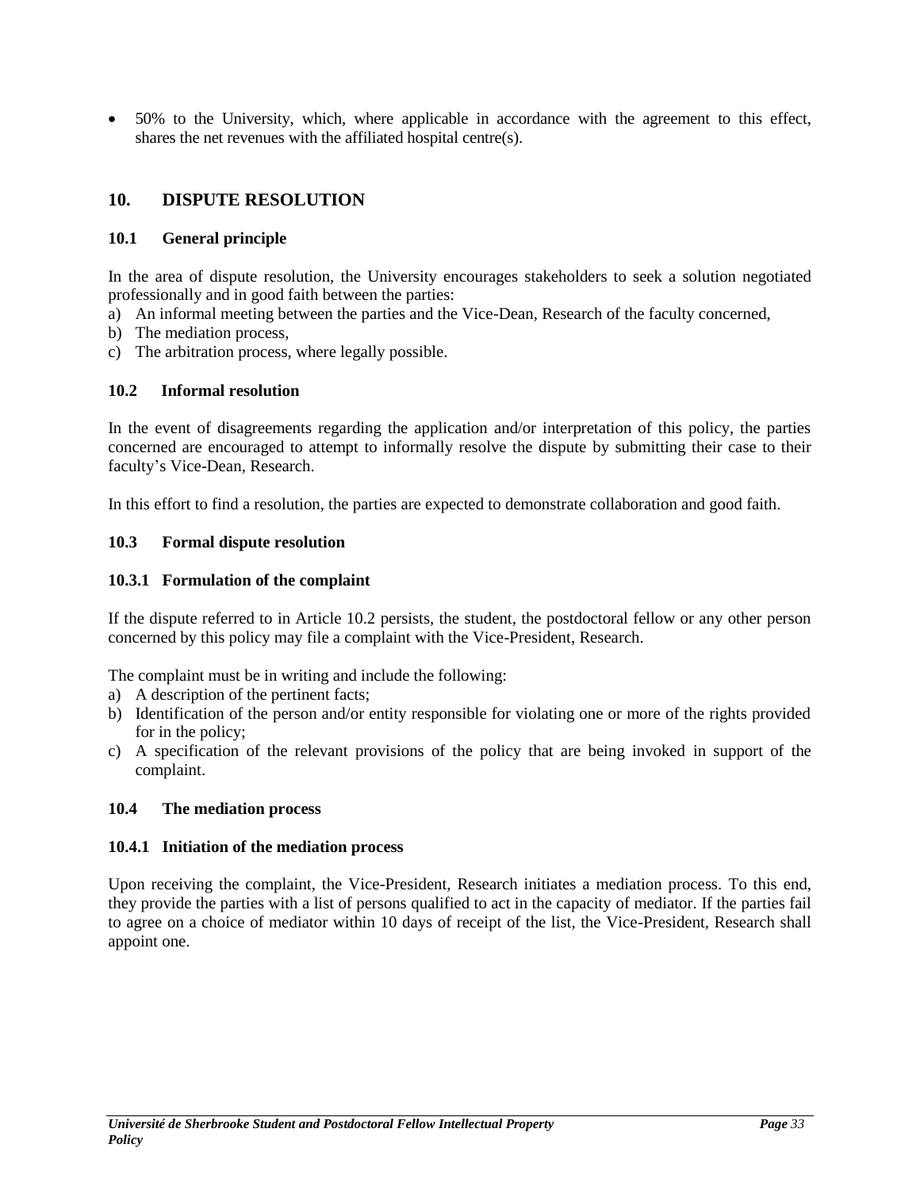50% to the University, which, where applicable in accordance with the agreement to this effect, shares the net revenues with the affiliated hospital centre(s).

# <span id="page-32-0"></span>**10. DISPUTE RESOLUTION**

## <span id="page-32-1"></span>**10.1 General principle**

In the area of dispute resolution, the University encourages stakeholders to seek a solution negotiated professionally and in good faith between the parties:

- a) An informal meeting between the parties and the Vice-Dean, Research of the faculty concerned,
- b) The mediation process,
- c) The arbitration process, where legally possible.

## <span id="page-32-2"></span>**10.2 Informal resolution**

In the event of disagreements regarding the application and/or interpretation of this policy, the parties concerned are encouraged to attempt to informally resolve the dispute by submitting their case to their faculty's Vice-Dean, Research.

In this effort to find a resolution, the parties are expected to demonstrate collaboration and good faith.

## <span id="page-32-3"></span>**10.3 Formal dispute resolution**

## <span id="page-32-4"></span>**10.3.1 Formulation of the complaint**

If the dispute referred to in Article 10.2 persists, the student, the postdoctoral fellow or any other person concerned by this policy may file a complaint with the Vice-President, Research.

The complaint must be in writing and include the following:

- a) A description of the pertinent facts;
- b) Identification of the person and/or entity responsible for violating one or more of the rights provided for in the policy;
- c) A specification of the relevant provisions of the policy that are being invoked in support of the complaint.

#### <span id="page-32-5"></span>**10.4 The mediation process**

#### <span id="page-32-6"></span>**10.4.1 Initiation of the mediation process**

Upon receiving the complaint, the Vice-President, Research initiates a mediation process. To this end, they provide the parties with a list of persons qualified to act in the capacity of mediator. If the parties fail to agree on a choice of mediator within 10 days of receipt of the list, the Vice-President, Research shall appoint one.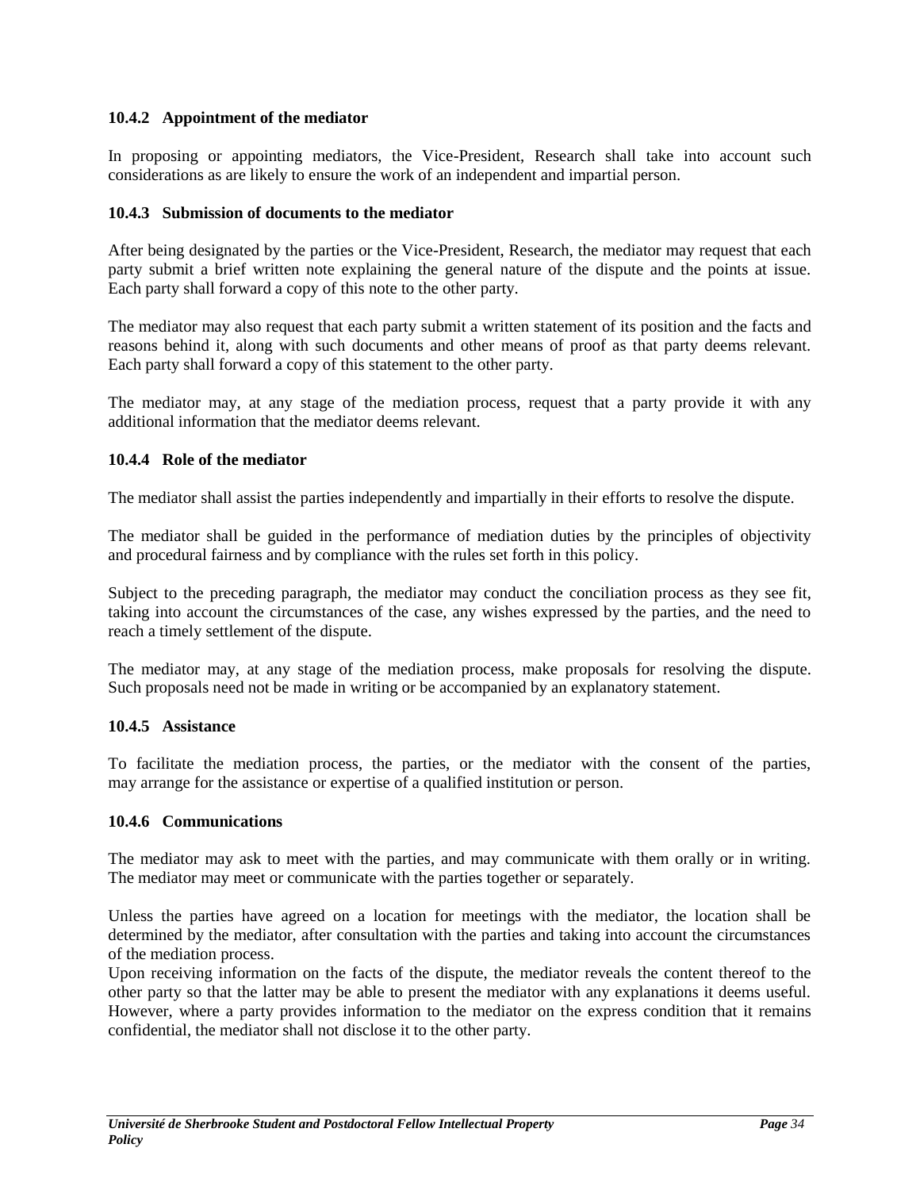## <span id="page-33-0"></span>**10.4.2 Appointment of the mediator**

In proposing or appointing mediators, the Vice-President, Research shall take into account such considerations as are likely to ensure the work of an independent and impartial person.

#### <span id="page-33-1"></span>**10.4.3 Submission of documents to the mediator**

After being designated by the parties or the Vice-President, Research, the mediator may request that each party submit a brief written note explaining the general nature of the dispute and the points at issue. Each party shall forward a copy of this note to the other party.

The mediator may also request that each party submit a written statement of its position and the facts and reasons behind it, along with such documents and other means of proof as that party deems relevant. Each party shall forward a copy of this statement to the other party.

The mediator may, at any stage of the mediation process, request that a party provide it with any additional information that the mediator deems relevant.

## <span id="page-33-2"></span>**10.4.4 Role of the mediator**

The mediator shall assist the parties independently and impartially in their efforts to resolve the dispute.

The mediator shall be guided in the performance of mediation duties by the principles of objectivity and procedural fairness and by compliance with the rules set forth in this policy.

Subject to the preceding paragraph, the mediator may conduct the conciliation process as they see fit, taking into account the circumstances of the case, any wishes expressed by the parties, and the need to reach a timely settlement of the dispute.

The mediator may, at any stage of the mediation process, make proposals for resolving the dispute. Such proposals need not be made in writing or be accompanied by an explanatory statement.

#### <span id="page-33-3"></span>**10.4.5 Assistance**

To facilitate the mediation process, the parties, or the mediator with the consent of the parties, may arrange for the assistance or expertise of a qualified institution or person.

#### <span id="page-33-4"></span>**10.4.6 Communications**

The mediator may ask to meet with the parties, and may communicate with them orally or in writing. The mediator may meet or communicate with the parties together or separately.

Unless the parties have agreed on a location for meetings with the mediator, the location shall be determined by the mediator, after consultation with the parties and taking into account the circumstances of the mediation process.

Upon receiving information on the facts of the dispute, the mediator reveals the content thereof to the other party so that the latter may be able to present the mediator with any explanations it deems useful. However, where a party provides information to the mediator on the express condition that it remains confidential, the mediator shall not disclose it to the other party.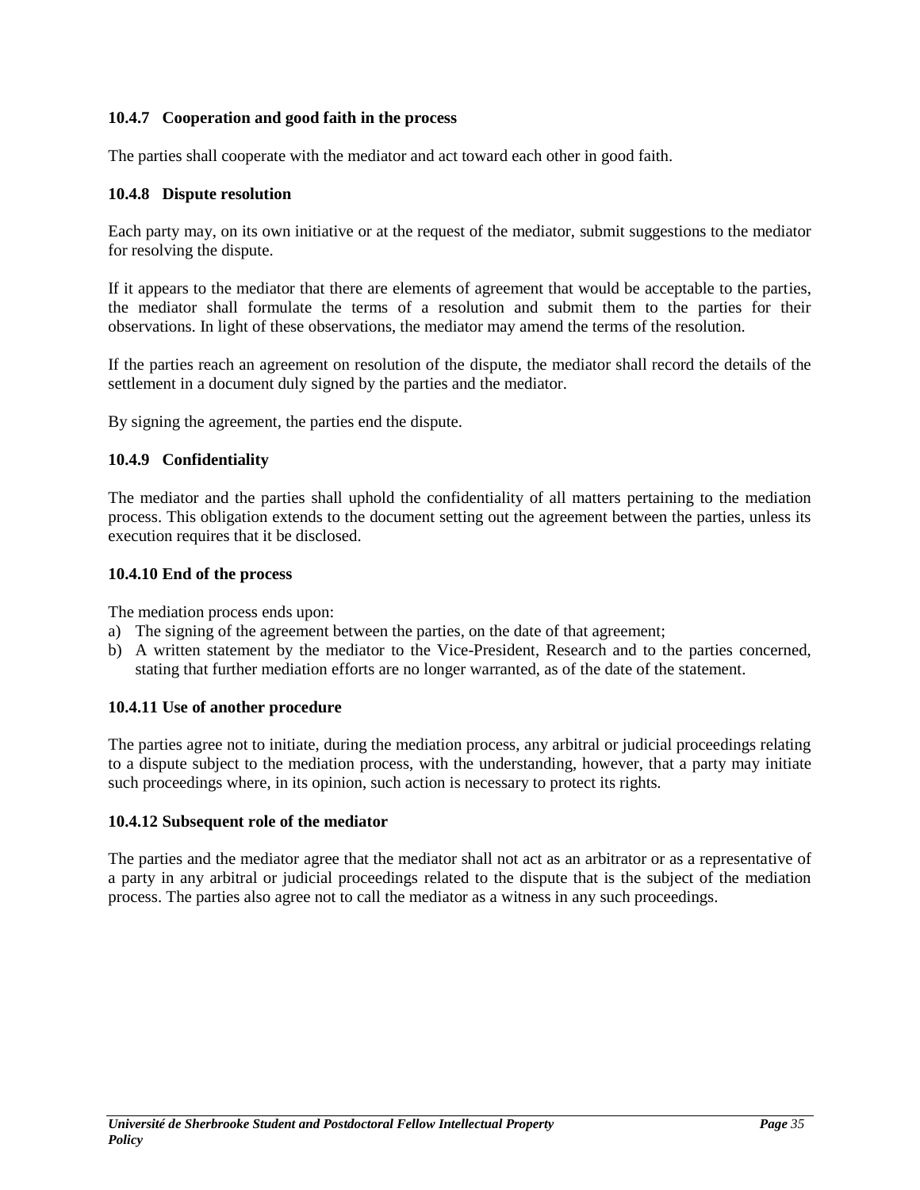## <span id="page-34-0"></span>**10.4.7 Cooperation and good faith in the process**

The parties shall cooperate with the mediator and act toward each other in good faith.

## <span id="page-34-1"></span>**10.4.8 Dispute resolution**

Each party may, on its own initiative or at the request of the mediator, submit suggestions to the mediator for resolving the dispute.

If it appears to the mediator that there are elements of agreement that would be acceptable to the parties, the mediator shall formulate the terms of a resolution and submit them to the parties for their observations. In light of these observations, the mediator may amend the terms of the resolution.

If the parties reach an agreement on resolution of the dispute, the mediator shall record the details of the settlement in a document duly signed by the parties and the mediator.

By signing the agreement, the parties end the dispute.

## <span id="page-34-2"></span>**10.4.9 Confidentiality**

The mediator and the parties shall uphold the confidentiality of all matters pertaining to the mediation process. This obligation extends to the document setting out the agreement between the parties, unless its execution requires that it be disclosed.

#### <span id="page-34-3"></span>**10.4.10 End of the process**

The mediation process ends upon:

- a) The signing of the agreement between the parties, on the date of that agreement;
- b) A written statement by the mediator to the Vice-President, Research and to the parties concerned, stating that further mediation efforts are no longer warranted, as of the date of the statement.

#### <span id="page-34-4"></span>**10.4.11 Use of another procedure**

The parties agree not to initiate, during the mediation process, any arbitral or judicial proceedings relating to a dispute subject to the mediation process, with the understanding, however, that a party may initiate such proceedings where, in its opinion, such action is necessary to protect its rights.

#### <span id="page-34-5"></span>**10.4.12 Subsequent role of the mediator**

The parties and the mediator agree that the mediator shall not act as an arbitrator or as a representative of a party in any arbitral or judicial proceedings related to the dispute that is the subject of the mediation process. The parties also agree not to call the mediator as a witness in any such proceedings.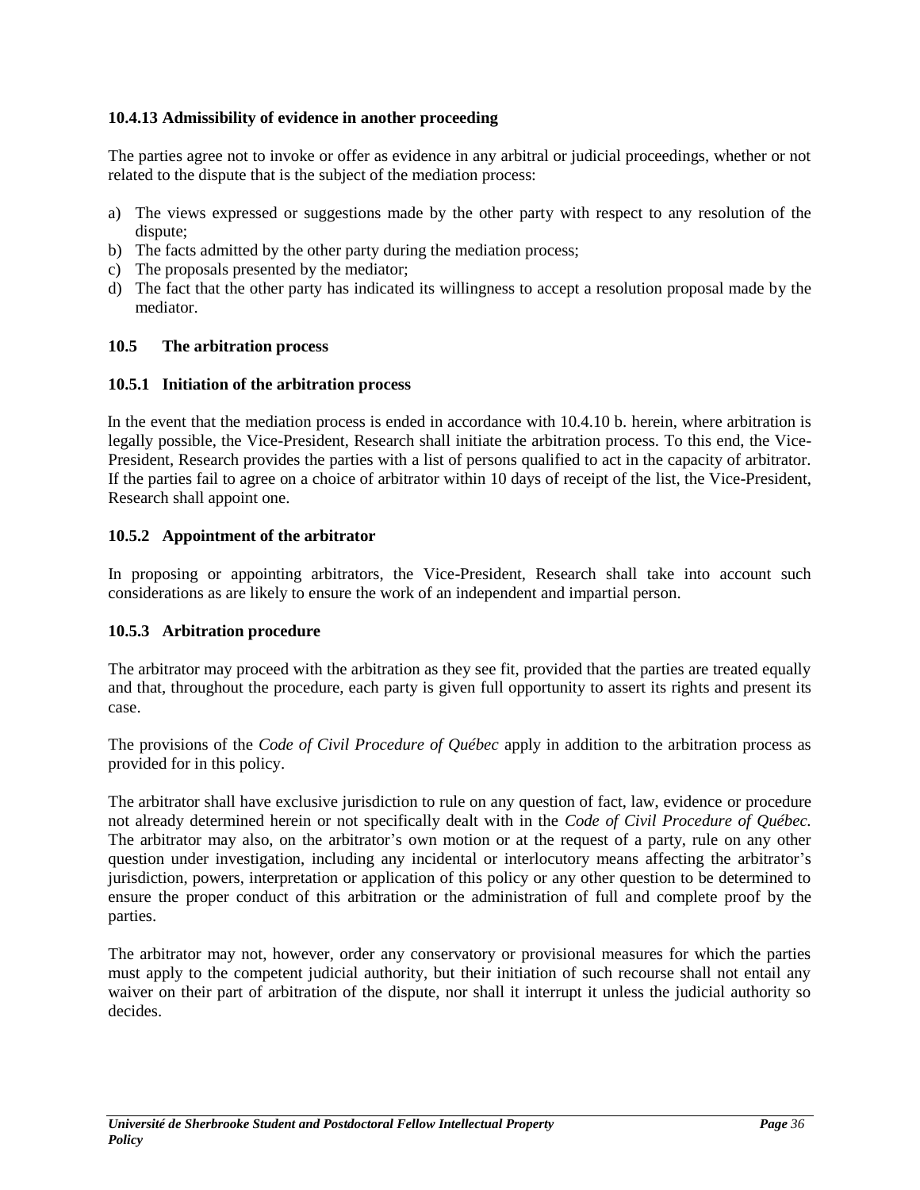## <span id="page-35-0"></span>**10.4.13 Admissibility of evidence in another proceeding**

The parties agree not to invoke or offer as evidence in any arbitral or judicial proceedings, whether or not related to the dispute that is the subject of the mediation process:

- a) The views expressed or suggestions made by the other party with respect to any resolution of the dispute;
- b) The facts admitted by the other party during the mediation process;
- c) The proposals presented by the mediator;
- d) The fact that the other party has indicated its willingness to accept a resolution proposal made by the mediator.

#### <span id="page-35-1"></span>**10.5 The arbitration process**

#### <span id="page-35-2"></span>**10.5.1 Initiation of the arbitration process**

In the event that the mediation process is ended in accordance with 10.4.10 b. herein, where arbitration is legally possible, the Vice-President, Research shall initiate the arbitration process. To this end, the Vice-President, Research provides the parties with a list of persons qualified to act in the capacity of arbitrator. If the parties fail to agree on a choice of arbitrator within 10 days of receipt of the list, the Vice-President, Research shall appoint one.

#### <span id="page-35-3"></span>**10.5.2 Appointment of the arbitrator**

In proposing or appointing arbitrators, the Vice-President, Research shall take into account such considerations as are likely to ensure the work of an independent and impartial person.

#### <span id="page-35-4"></span>**10.5.3 Arbitration procedure**

The arbitrator may proceed with the arbitration as they see fit, provided that the parties are treated equally and that, throughout the procedure, each party is given full opportunity to assert its rights and present its case.

The provisions of the *Code of Civil Procedure of Québec* apply in addition to the arbitration process as provided for in this policy.

The arbitrator shall have exclusive jurisdiction to rule on any question of fact, law, evidence or procedure not already determined herein or not specifically dealt with in the *Code of Civil Procedure of Québec.* The arbitrator may also, on the arbitrator's own motion or at the request of a party, rule on any other question under investigation, including any incidental or interlocutory means affecting the arbitrator's jurisdiction, powers, interpretation or application of this policy or any other question to be determined to ensure the proper conduct of this arbitration or the administration of full and complete proof by the parties.

The arbitrator may not, however, order any conservatory or provisional measures for which the parties must apply to the competent judicial authority, but their initiation of such recourse shall not entail any waiver on their part of arbitration of the dispute, nor shall it interrupt it unless the judicial authority so decides.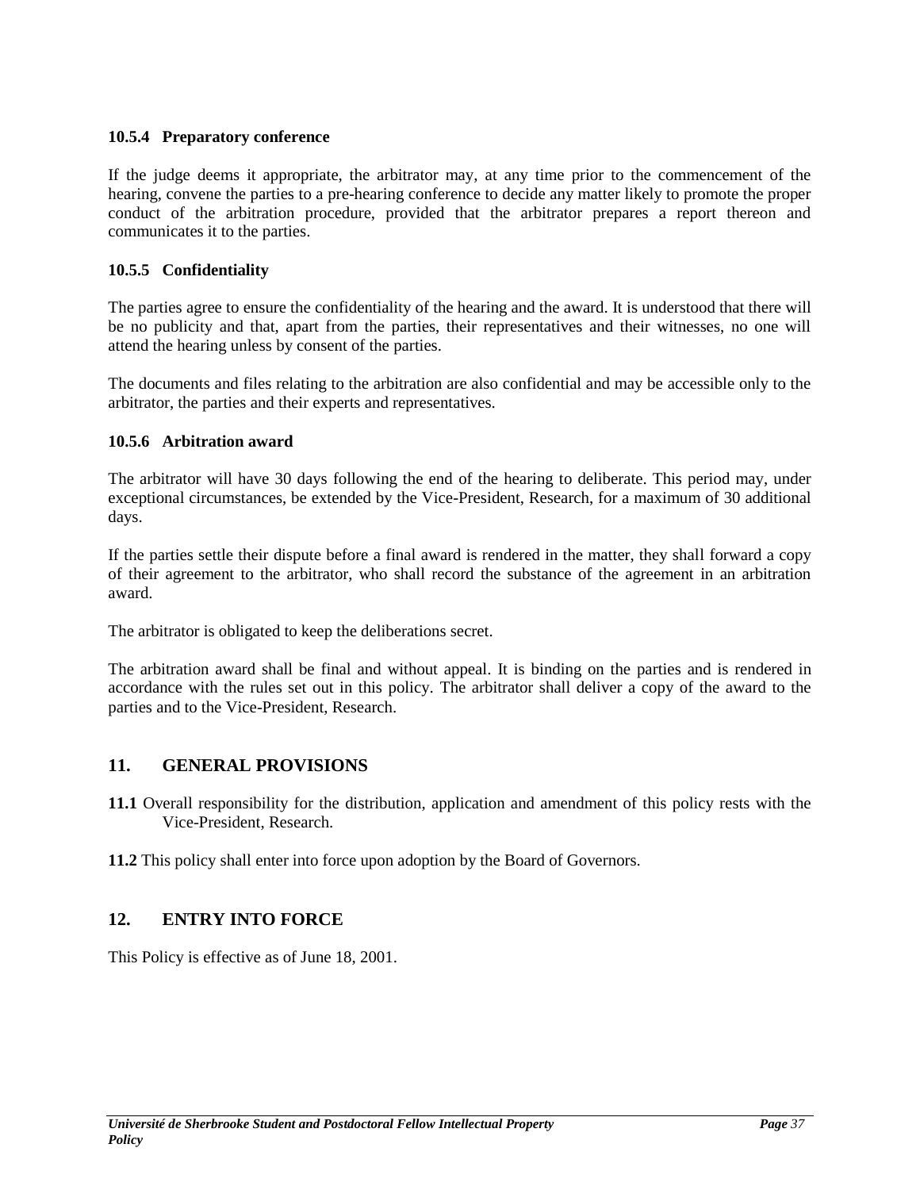## <span id="page-36-0"></span>**10.5.4 Preparatory conference**

If the judge deems it appropriate, the arbitrator may, at any time prior to the commencement of the hearing, convene the parties to a pre-hearing conference to decide any matter likely to promote the proper conduct of the arbitration procedure, provided that the arbitrator prepares a report thereon and communicates it to the parties.

## <span id="page-36-1"></span>**10.5.5 Confidentiality**

The parties agree to ensure the confidentiality of the hearing and the award. It is understood that there will be no publicity and that, apart from the parties, their representatives and their witnesses, no one will attend the hearing unless by consent of the parties.

The documents and files relating to the arbitration are also confidential and may be accessible only to the arbitrator, the parties and their experts and representatives.

## <span id="page-36-2"></span>**10.5.6 Arbitration award**

The arbitrator will have 30 days following the end of the hearing to deliberate. This period may, under exceptional circumstances, be extended by the Vice-President, Research, for a maximum of 30 additional days.

If the parties settle their dispute before a final award is rendered in the matter, they shall forward a copy of their agreement to the arbitrator, who shall record the substance of the agreement in an arbitration award.

The arbitrator is obligated to keep the deliberations secret.

The arbitration award shall be final and without appeal. It is binding on the parties and is rendered in accordance with the rules set out in this policy. The arbitrator shall deliver a copy of the award to the parties and to the Vice-President, Research.

# <span id="page-36-3"></span>**11. GENERAL PROVISIONS**

- **11.1** Overall responsibility for the distribution, application and amendment of this policy rests with the Vice-President, Research.
- **11.2** This policy shall enter into force upon adoption by the Board of Governors.

# <span id="page-36-4"></span>**12. ENTRY INTO FORCE**

This Policy is effective as of June 18, 2001.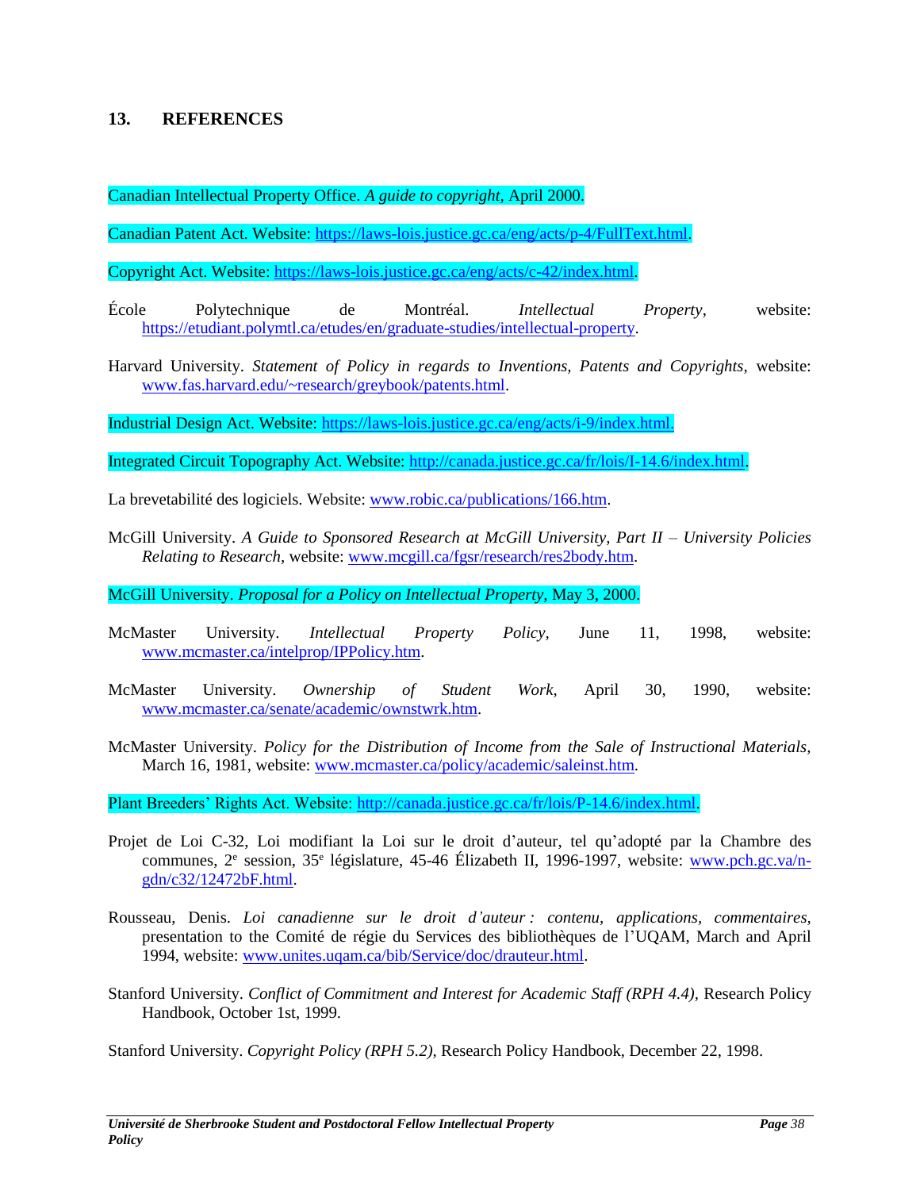## <span id="page-37-0"></span>**13. REFERENCES**

Canadian Intellectual Property Office. *A guide to copyright,* April 2000.

Canadian Patent Act. Website: [https://laws-lois.justice.gc.ca/eng/acts/p-4/FullText.html.](https://laws-lois.justice.gc.ca/eng/acts/p-4/FullText.html)

Copyright Act. Website: [https://laws-lois.justice.gc.ca/eng/acts/c-42/index.html.](https://laws-lois.justice.gc.ca/eng/acts/c-42/index.html)

École Polytechnique de Montréal. *Intellectual Property,* website: [https://etudiant.polymtl.ca/etudes/en/graduate-studies/intellectual-property.](https://etudiant.polymtl.ca/etudes/en/graduate-studies/intellectual-property)

Harvard University. *Statement of Policy in regards to Inventions, Patents and Copyrights,* website: [www.fas.harvard.edu/~research/greybook/patents.html.](http://www.fas.harvard.edu/~research/greybook/patents.html)

Industrial Design Act. Website: [https://laws-lois.justice.gc.ca/eng/acts/i-9/index.html.](https://laws-lois.justice.gc.ca/eng/acts/i-9/index.html)

Integrated Circuit Topography Act. Website: [http://canada.justice.gc.ca/fr/lois/I-14.6/index.html.](http://canada.justice.gc.ca/fr/lois/I-14.6/index.html)

La brevetabilité des logiciels. Website: [www.robic.ca/publications/166.htm.](http://www.robic.ca/publications/166.htm)

McGill University. *A Guide to Sponsored Research at McGill University, Part II – University Policies Relating to Research,* website[: www.mcgill.ca/fgsr/research/res2body.htm.](http://www.mcgill.ca/fgsr/research/res2body.htm)

McGill University. *Proposal for a Policy on Intellectual Property,* May 3, 2000.

- McMaster University. *Intellectual Property Policy,* June 11, 1998, website: [www.mcmaster.ca/intelprop/IPPolicy.htm.](http://www.mcmaster.ca/intelprop/IPPolicy.htm)
- McMaster University. *Ownership of Student Work,* April 30, 1990, website: [www.mcmaster.ca/senate/academic/ownstwrk.htm.](http://www.mcmaster.ca/senate/academic/ownstwrk.htm)
- McMaster University. *Policy for the Distribution of Income from the Sale of Instructional Materials,* March 16, 1981, website: [www.mcmaster.ca/policy/academic/saleinst.htm.](http://www.mcmaster.ca/policy/academic/saleinst.htm)

Plant Breeders' Rights Act. Website: [http://canada.justice.gc.ca/fr/lois/P-14.6/index.html.](http://canada.justice.gc.ca/fr/lois/P-14.6/index.html)

- Projet de Loi C-32, Loi modifiant la Loi sur le droit d'auteur, tel qu'adopté par la Chambre des communes, 2<sup>e</sup> session, 35<sup>e</sup> législature, 45-46 Élizabeth II, 1996-1997, website: [www.pch.gc.va/n](http://www.pch.gc.va/n-gdn/c32/12472bF.html)[gdn/c32/12472bF.html.](http://www.pch.gc.va/n-gdn/c32/12472bF.html)
- Rousseau, Denis. *Loi canadienne sur le droit d'auteur : contenu, applications, commentaires,* presentation to the Comité de régie du Services des bibliothèques de l'UQAM, March and April 1994, website: [www.unites.uqam.ca/bib/Service/doc/drauteur.html.](http://www.unites.uqam.ca/bib/Service/doc/drauteur.html)
- Stanford University. *Conflict of Commitment and Interest for Academic Staff (RPH 4.4),* Research Policy Handbook, October 1st, 1999.

Stanford University. *Copyright Policy (RPH 5.2),* Research Policy Handbook, December 22, 1998.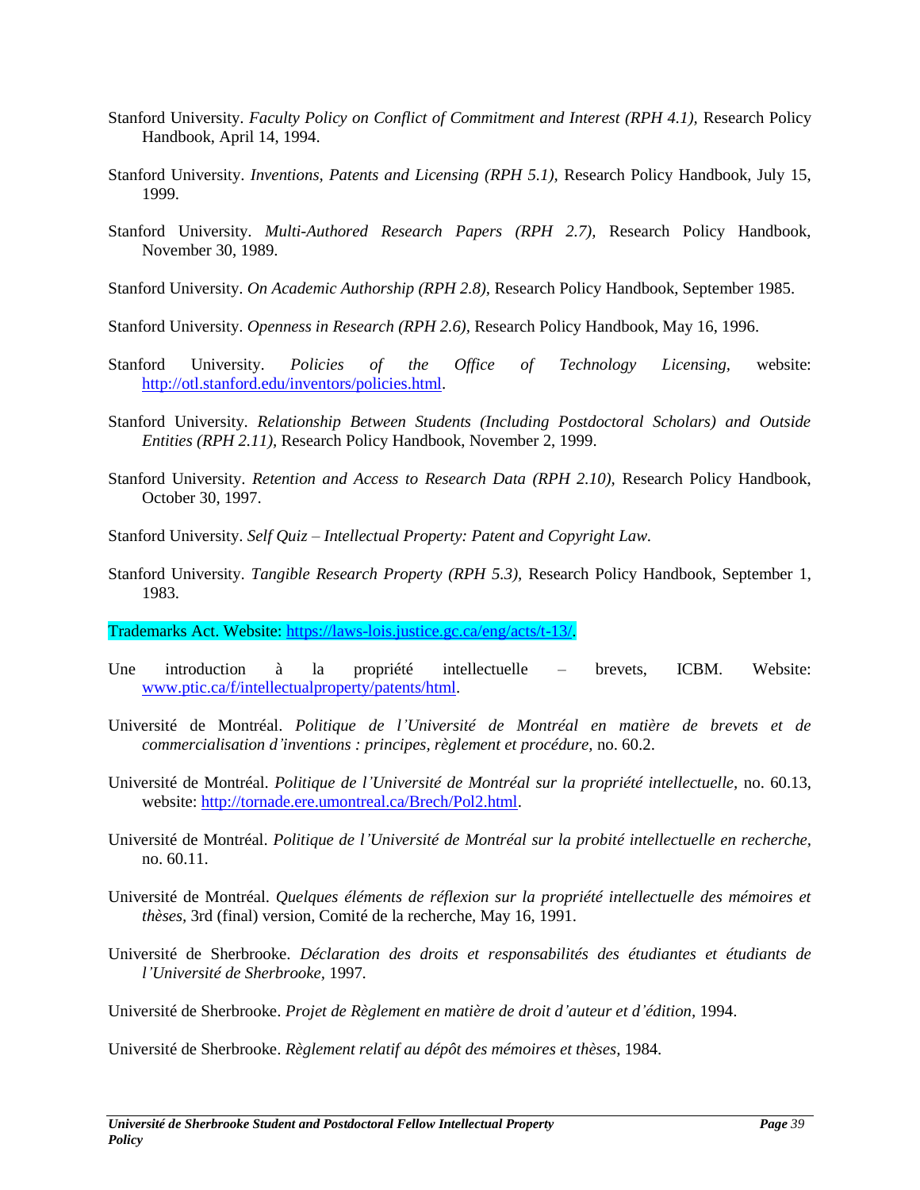- Stanford University. *Faculty Policy on Conflict of Commitment and Interest (RPH 4.1),* Research Policy Handbook, April 14, 1994.
- Stanford University. *Inventions, Patents and Licensing (RPH 5.1),* Research Policy Handbook, July 15, 1999.
- Stanford University. *Multi-Authored Research Papers (RPH 2.7),* Research Policy Handbook, November 30, 1989.
- Stanford University. *On Academic Authorship (RPH 2.8),* Research Policy Handbook, September 1985.
- Stanford University. *Openness in Research (RPH 2.6),* Research Policy Handbook, May 16, 1996.
- Stanford University. *Policies of the Office of Technology Licensing,* website: [http://otl.stanford.edu/inventors/policies.html.](http://otl.stanford.edu/inventors/policies.html)
- Stanford University. *Relationship Between Students (Including Postdoctoral Scholars) and Outside Entities (RPH 2.11),* Research Policy Handbook, November 2, 1999.
- Stanford University. *Retention and Access to Research Data (RPH 2.10),* Research Policy Handbook, October 30, 1997.
- Stanford University. *Self Quiz – Intellectual Property: Patent and Copyright Law.*
- Stanford University. *Tangible Research Property (RPH 5.3),* Research Policy Handbook, September 1, 1983.

Trademarks Act. Website: [https://laws-lois.justice.gc.ca/eng/acts/t-13/.](https://laws-lois.justice.gc.ca/eng/acts/t-13/)

- Une introduction à la propriété intellectuelle brevets, ICBM. Website: [www.ptic.ca/f/intellectualproperty/patents/html.](http://www.ptic.ca/f/intellectualproperty/patents/html)
- Université de Montréal. *Politique de l'Université de Montréal en matière de brevets et de commercialisation d'inventions : principes, règlement et procédure,* no. 60.2.
- Université de Montréal. *Politique de l'Université de Montréal sur la propriété intellectuelle,* no. 60.13, website: [http://tornade.ere.umontreal.ca/Brech/Pol2.html.](http://tornade.ere.umontreal.ca/Brech/Pol2.html)
- Université de Montréal. *Politique de l'Université de Montréal sur la probité intellectuelle en recherche,* no. 60.11.
- Université de Montréal. *Quelques éléments de réflexion sur la propriété intellectuelle des mémoires et thèses,* 3rd (final) version, Comité de la recherche, May 16, 1991.
- Université de Sherbrooke. *Déclaration des droits et responsabilités des étudiantes et étudiants de l'Université de Sherbrooke,* 1997*.*
- Université de Sherbrooke. *Projet de Règlement en matière de droit d'auteur et d'édition,* 1994.

Université de Sherbrooke. *Règlement relatif au dépôt des mémoires et thèses,* 1984.